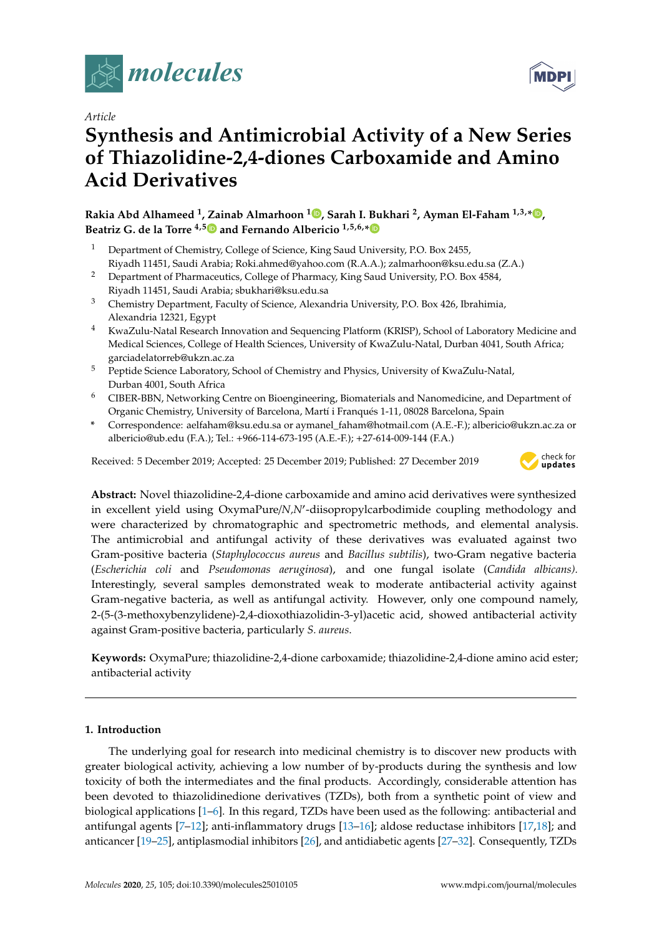

*Article*

# **Synthesis and Antimicrobial Activity of a New Series of Thiazolidine-2,4-diones Carboxamide and Amino Acid Derivatives**

**Rakia Abd Alhameed <sup>1</sup> , Zainab Almarhoon <sup>1</sup> [,](https://orcid.org/0000-0001-8196-2612) Sarah I. Bukhari <sup>2</sup> , Ayman El-Faham 1,3,\* [,](https://orcid.org/0000-0002-3951-2754) Beatriz G. de la Torre 4,[5](https://orcid.org/0000-0001-8521-9172) and Fernando Albericio 1,5,6,[\\*](https://orcid.org/0000-0002-8946-0462)**

- <sup>1</sup> Department of Chemistry, College of Science, King Saud University, P.O. Box 2455, Riyadh 11451, Saudi Arabia; Roki.ahmed@yahoo.com (R.A.A.); zalmarhoon@ksu.edu.sa (Z.A.)
- <sup>2</sup> Department of Pharmaceutics, College of Pharmacy, King Saud University, P.O. Box 4584, Riyadh 11451, Saudi Arabia; sbukhari@ksu.edu.sa
- <sup>3</sup> Chemistry Department, Faculty of Science, Alexandria University, P.O. Box 426, Ibrahimia, Alexandria 12321, Egypt
- <sup>4</sup> KwaZulu-Natal Research Innovation and Sequencing Platform (KRISP), School of Laboratory Medicine and Medical Sciences, College of Health Sciences, University of KwaZulu-Natal, Durban 4041, South Africa; garciadelatorreb@ukzn.ac.za
- <sup>5</sup> Peptide Science Laboratory, School of Chemistry and Physics, University of KwaZulu-Natal, Durban 4001, South Africa
- <sup>6</sup> CIBER-BBN, Networking Centre on Bioengineering, Biomaterials and Nanomedicine, and Department of Organic Chemistry, University of Barcelona, Martí i Franqués 1-11, 08028 Barcelona, Spain
- **\*** Correspondence: aelfaham@ksu.edu.sa or aymanel\_faham@hotmail.com (A.E.-F.); albericio@ukzn.ac.za or albericio@ub.edu (F.A.); Tel.: +966-114-673-195 (A.E.-F.); +27-614-009-144 (F.A.)

Received: 5 December 2019; Accepted: 25 December 2019; Published: 27 December 2019



**Abstract:** Novel thiazolidine-2,4-dione carboxamide and amino acid derivatives were synthesized in excellent yield using OxymaPure/*N*,*N'*-diisopropylcarbodimide coupling methodology and were characterized by chromatographic and spectrometric methods, and elemental analysis. The antimicrobial and antifungal activity of these derivatives was evaluated against two Gram-positive bacteria (*Staphylococcus aureus* and *Bacillus subtilis*), two-Gram negative bacteria (*Escherichia coli* and *Pseudomonas aeruginosa*), and one fungal isolate (*Candida albicans).* Interestingly, several samples demonstrated weak to moderate antibacterial activity against Gram-negative bacteria, as well as antifungal activity. However, only one compound namely, 2-(5-(3-methoxybenzylidene)-2,4-dioxothiazolidin-3-yl)acetic acid, showed antibacterial activity against Gram-positive bacteria, particularly *S. aureus*.

**Keywords:** OxymaPure; thiazolidine-2,4-dione carboxamide; thiazolidine-2,4-dione amino acid ester; antibacterial activity

## **1. Introduction**

The underlying goal for research into medicinal chemistry is to discover new products with greater biological activity, achieving a low number of by-products during the synthesis and low toxicity of both the intermediates and the final products. Accordingly, considerable attention has been devoted to thiazolidinedione derivatives (TZDs), both from a synthetic point of view and biological applications [\[1–](#page-13-0)[6\]](#page-14-0). In this regard, TZDs have been used as the following: antibacterial and antifungal agents [\[7](#page-14-1)[–12\]](#page-14-2); anti-inflammatory drugs [\[13](#page-14-3)[–16\]](#page-14-4); aldose reductase inhibitors [\[17,](#page-14-5)[18\]](#page-14-6); and anticancer [\[19](#page-14-7)[–25\]](#page-15-0), antiplasmodial inhibitors [\[26\]](#page-15-1), and antidiabetic agents [\[27–](#page-15-2)[32\]](#page-15-3). Consequently, TZDs

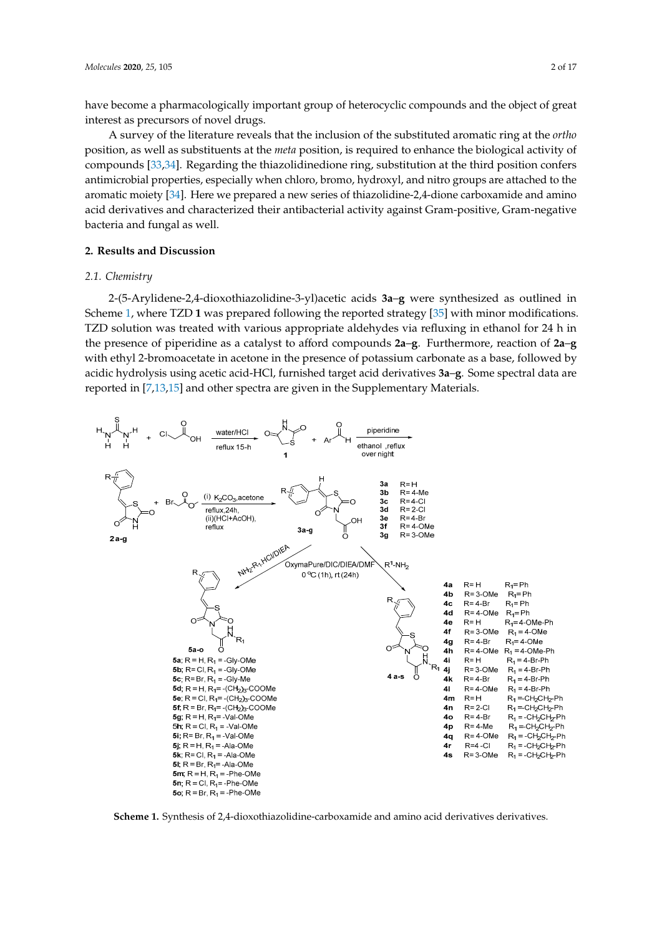have become a pharmacologically important group of heterocyclic compounds and the object of great interest as precursors of novel drugs.

A survey of the literature reveals that the inclusion of the substituted aromatic ring at the *ortho* position, as well as substituents at the *meta* position, is required to enhance the biological activity of compounds [\[33,](#page-15-4)[34\]](#page-15-5). Regarding the thiazolidinedione ring, substitution at the third position confers antimicrobial properties, especially when chloro, bromo, hydroxyl, and nitro groups are attached to the aromatic moiety [\[34\]](#page-15-5). Here we prepared a new series of thiazolidine-2,4-dione carboxamide and amino acid derivatives and characterized their antibacterial activity against Gram-positive, Gram-negative bacteria and fungal as well.

#### **2. Results and Discussion**

#### *2.1. Chemistry*

2-(5-Arylidene-2,4-dioxothiazolidine-3-yl)acetic acids **3a**–**g** were synthesized as outlined in Scheme [1,](#page-1-0) where TZD **1** was prepared following the reported strategy [\[35\]](#page-15-6) with minor modifications. TZD solution was treated with various appropriate aldehydes via refluxing in ethanol for 24 h in the presence of piperidine as a catalyst to afford compounds **2a**–**g**. Furthermore, reaction of **2a**–**g** with ethyl 2-bromoacetate in acetone in the presence of potassium carbonate as a base, followed by acidic hydrolysis using acetic acid-HCl, furnished target acid derivatives **3a**–**g**. Some spectral data are reported in [[7](#page-14-1),[13](#page-14-3)[,15\]](#page-14-8) and other spectra are given in the Supplementary Materials.

<span id="page-1-0"></span>

**Scheme 1.** Synthesis of 2,4-dioxothiazolidine-carboxamide and amino acid derivatives derivatives. **Scheme 1.** Synthesis of 2,4-dioxothiazolidine-carboxamide and amino acid derivatives derivatives.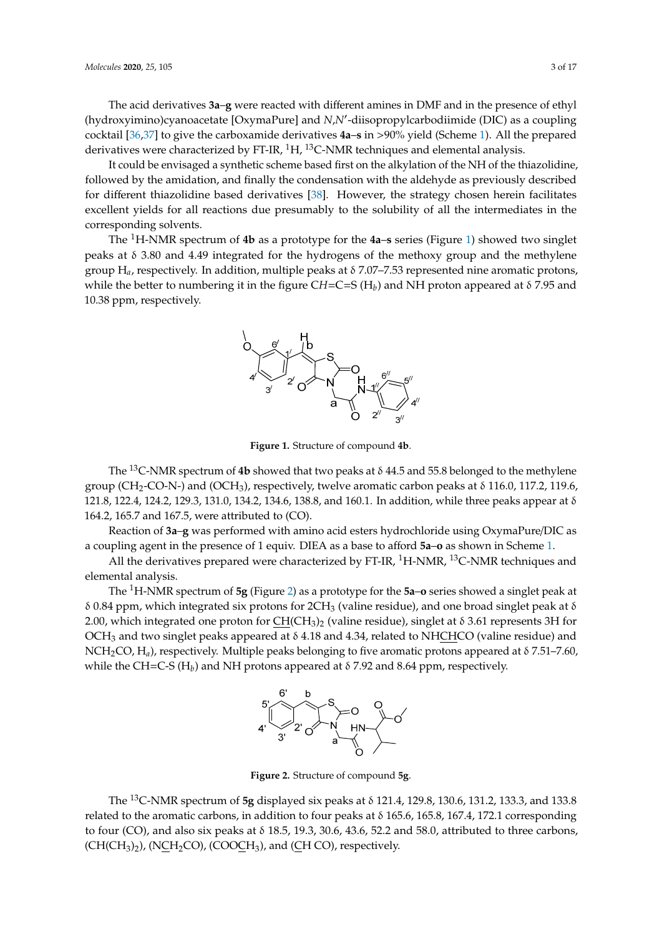The acid derivatives 3a–g were reacted with different amines in DMF and in the presence of ethyl (hydroxyimino)cyanoacetate [OxymaPure] and *N,N'*-diisopropylcarbodiimide (DIC) as a coupling cocktail [36,37] to give the carboxamide derivatives **4a**–**s** in >90% yield (Scheme 1). All the prepared derivatives were characterized by FT-IR,  ${}^{1}$ H,  ${}^{13}$ C-NMR techniques and elemental analysis. (hydroxyimino)cyanoacetate [OxymaPure] and *N,N'*-[dii](#page-1-0)sopropylcarbodiimide (DIC) as a coupling<br>cocktail [36,37] to give the carboxamide derivatives **4a–s** in >90% yield (Scheme 1). All the prepared<br>derivatives were characte

It could be envisaged a synthetic scheme based first on the alkylation of the NH of the thiazolidine, followed by the amidation, and finally the condensation with the aldehyde as previously described for different thiazolidine based derivatives [38]. However, the strategy chosen herein facilitates for different thiazolidine based derivatives [38]. However, the strategy chosen herein facilitates<br>excellent yields for all reactions due presumably to the solubility of all the intermediates in the corresponding solvents.  $\overline{\phantom{a}}$ 

<span id="page-2-0"></span>The <sup>1</sup>H-NMR spectrum of 4b as a prototype for the 4a–s series (Figure [1\)](#page-2-0) showed two singlet peaks at δ 3.80 and 4.49 integrated for the hydrogens of the methoxy group and the methylene group  $H_a$ , respectively. In addition, multiple peaks at δ 7.07–7.53 represented nine aromatic protons, group  $H_a$ , respectively. In addition, multiple peaks at  $\delta$  7.07–7.53 represented nine aromatic protons, while the better to numbering it in the figure  $CH=C=S(H_b)$  and NH proton appeared at  $\delta$  7.95 and the better to number of the figure C*H*=C=S (H*b*) and  $\Delta$  *H* proton and NH proton appeared at  $\Delta$ 



**Figure 1.** Structure of compound **4b**. **Figure 1.** Structure of compound **4b**.

The <sup>13</sup>C-NMR spectrum of **4b** showed that two peaks at  $\delta$  44.5 and 55.8 belonged to the methylene group (CH<sub>2</sub>-CO-N-) and (OCH<sub>3</sub>), respectively, twelve aromatic carbon peaks at  $\delta$  116.0, 117.2, 119.6, 121.8, 122.4, 124.2, 129.3, 131.0, 134.2, 134.6, 138.8, and 160.1. In addition, while three peaks appear at δ 164.2, 165.7 and 167.5, were attributed to (CO).

Reaction of **3a**–**g** was performed with amino acid esters hydrochloride using OxymaPure/DIC as a coupling agent in the presence of 1 equiv. DIEA as a base to afford **5a–o** as shown in Scheme [1.](#page-1-0)

All the derivatives prepared were characterized by FT-IR, <sup>1</sup>H-NMR, <sup>13</sup>C-NMR techniques and elemental analysis.  $\mathbf{F}$  derivatives prepared were characterized by  $\mathbf{F}$ 

<span id="page-2-1"></span>The <sup>1</sup>H-NMR spectrum of 5g (Figure [2\)](#page-2-1) as a prototype for the 5a-o series showed a singlet peak at δ 0.84 ppm, which integrated six protons for 2CH<sub>3</sub> (valine residue), and one broad singlet peak at δ 2.00, which integrated one proton for  $\underline{CH}(CH_3)_2$  (valine residue), singlet at δ 3.61 represents 3H for  $\overline{\text{OCH}}_3$  and two singlet peaks appeared at  $\delta$  4.18 and 4.34, related to NHCHCO (valine residue) and NCH<sub>2</sub>CO, H<sub>a</sub>), respectively. Multiple peaks belonging to five aromatic protons appeared at δ 7.51–7.60, while the CH=C-S (H<sub>b</sub>) and NH protons appeared at  $\delta$  7.92 and 8.64 ppm, respectively.



**Figure 2.** Structure of compound **5g**. **Figure 2.** Structure of compound **5g**.

The 13C-NMR spectrum of **5g** displayed six peaks at δ 121.4, 129.8, 130.6, 131.2, 133.3, and 133.8 The <sup>13</sup>C-NMR spectrum of **5g** displayed six peaks at δ 121.4, 129.8, 130.6, 131.2, 133.3, and 133.8 related to the aromatic carbons, in addition to four peaks at δ 165.6, 165.8, 167.4, 172.1 corresponding related to the aromatic carbons, in addition to four peaks at δ 165.6, 165.8, 167.4, 172.1 corresponding to four (CO), and also six peaks at  $\delta$  18.5, 19.3, 30.6, 43.6, 52.2 and 58.0, attributed to three carbons,  $(CH(CH<sub>3</sub>)<sub>2</sub>)$ , (NCH<sub>2</sub>CO), (COOCH<sub>3</sub>), and (CH CO), respectively.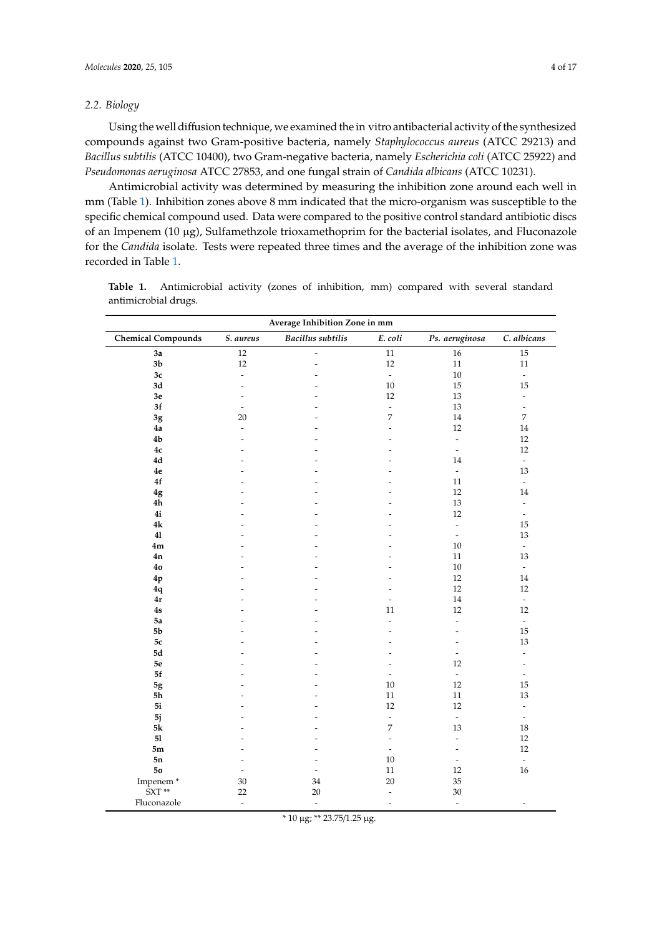#### *2.2. Biology*

Using the well diffusion technique, we examined the in vitro antibacterial activity of the synthesized compounds against two Gram-positive bacteria, namely *Staphylococcus aureus* (ATCC 29213) and *Bacillus subtilis* (ATCC 10400), two Gram-negative bacteria, namely *Escherichia coli* (ATCC 25922) and *Pseudomonas aeruginosa* ATCC 27853, and one fungal strain of *Candida albicans* (ATCC 10231).

Antimicrobial activity was determined by measuring the inhibition zone around each well in mm (Table [1\)](#page-3-0). Inhibition zones above 8 mm indicated that the micro-organism was susceptible to the specific chemical compound used. Data were compared to the positive control standard antibiotic discs of an Impenem (10 µg), Sulfamethzole trioxamethoprim for the bacterial isolates, and Fluconazole for the *Candida* isolate. Tests were repeated three times and the average of the inhibition zone was recorded in Table [1.](#page-3-0)

| Average Inhibition Zone in mm |                          |                          |                          |                          |                              |
|-------------------------------|--------------------------|--------------------------|--------------------------|--------------------------|------------------------------|
| <b>Chemical Compounds</b>     | S. aureus                | <b>Bacillus</b> subtilis | E. coli                  | Ps. aeruginosa           | C. albicans                  |
| 3a                            | $12\,$                   | $\overline{\phantom{a}}$ | $11\,$                   | $16\,$                   | $15\,$                       |
| 3 <sub>b</sub>                | 12                       | ÷,                       | 12                       | 11                       | 11                           |
| 3c                            | $\overline{\phantom{a}}$ | $\overline{a}$           | $\overline{\phantom{a}}$ | $10\,$                   | $\overline{\phantom{a}}$     |
| 3d                            | $\overline{a}$           | $\rightarrow$            | 10                       | 15                       | 15                           |
| $3\mathrm{e}$                 | $\overline{\phantom{a}}$ | ۰                        | 12                       | 13                       | $\overline{\phantom{a}}$     |
| $3f$                          | $\tilde{\phantom{a}}$    | ٠                        | $\overline{\phantom{a}}$ | 13                       | $\overline{\phantom{a}}$     |
| 3g                            | 20                       | L.                       | 7                        | $14\,$                   | $\overline{7}$               |
| 4a                            | $\overline{a}$           | $\rightarrow$            | L.                       | 12                       | 14                           |
| 4 <sub>b</sub>                |                          |                          |                          | $\overline{\phantom{a}}$ | 12                           |
| $4\mathrm{c}$                 | L.                       | $\overline{a}$           | L.                       | $\bar{\phantom{a}}$      | 12                           |
| $4\mathrm{d}$                 |                          | L.                       |                          | 14                       | $\overline{\phantom{a}}$     |
| $4\mathrm{e}$                 |                          | L.                       |                          | $\overline{\phantom{a}}$ | 13                           |
| 4f                            | L.                       | $\rightarrow$            | ÷                        | 11                       | $\overline{\phantom{a}}$     |
| 4g                            |                          | ۰                        |                          | $12\,$                   | 14                           |
| 4h                            |                          | $\overline{\phantom{a}}$ |                          | 13                       | $\frac{1}{2}$                |
| 4i                            |                          |                          |                          | 12                       | $\overline{\phantom{a}}$     |
| 4k                            |                          | $\rightarrow$            |                          | $\overline{\phantom{a}}$ | 15                           |
| 41                            |                          |                          |                          | $\overline{\phantom{a}}$ | 13                           |
| 4m                            |                          | $\overline{a}$           |                          | 10                       | $\omega$                     |
| 4n                            |                          | $\overline{a}$           |                          | 11                       | 13                           |
| 4 <sub>o</sub>                |                          |                          |                          | $10\,$                   | $\overline{\phantom{a}}$     |
| 4p                            |                          | L,                       |                          | 12                       | 14                           |
| 4q                            |                          | $\overline{a}$           | ٠                        | 12                       | 12                           |
| 4r                            |                          | $\overline{a}$           | $\overline{\phantom{a}}$ | $14\,$                   | $\overline{\phantom{a}}$     |
| 4s                            |                          | ÷                        | 11                       | 12                       | 12                           |
| 5a                            |                          | $\rightarrow$            | $\bar{\phantom{a}}$      | ÷,                       | $\omega$                     |
| 5 <sub>b</sub>                |                          |                          | L,                       | ÷,                       | 15                           |
| $5\mathrm{c}$                 | ÷                        | $\rightarrow$            | $\overline{a}$           | $\overline{a}$           | 13                           |
| $5\mathrm{d}$                 |                          | ÷                        |                          | $\overline{\phantom{a}}$ | $\overline{\phantom{a}}$     |
| $5\mathrm{e}$                 |                          | L.                       |                          | 12                       | ÷,                           |
| 5f                            |                          | ä,                       | ÷                        | $\overline{\phantom{a}}$ | $\qquad \qquad \blacksquare$ |
| $5g$                          |                          | ۰                        | 10                       | $12\,$                   | 15                           |
| 5h                            | ÷                        | $\overline{a}$           | 11                       | $11\,$                   | 13                           |
| 5i                            |                          | ۰                        | 12                       | 12                       | $\frac{1}{2}$                |
| 5j                            |                          | $\overline{a}$           | $\overline{\phantom{a}}$ | $\overline{\phantom{a}}$ | $\overline{\phantom{a}}$     |
| $5\mathrm{k}$                 |                          |                          | 7                        | 13                       | 18                           |
| 51                            |                          | $\overline{a}$           | ÷                        | $\overline{\phantom{a}}$ | 12                           |
| 5m                            |                          | L,                       | $\overline{\phantom{a}}$ | ÷,                       | 12                           |
| 5n                            | $\overline{a}$           | L,                       | 10                       | ÷,                       | $\omega$                     |
| 50                            | $\overline{\phantom{a}}$ | $\frac{1}{2}$            | 11                       | 12                       | 16                           |
| Impenem <sup>*</sup>          | 30                       | 34                       | 20                       | 35                       |                              |
| $\hat{S}XT**$                 | 22                       | 20                       | $\overline{\phantom{a}}$ | $30\,$                   |                              |
| Fluconazole                   | $\overline{\phantom{a}}$ | $\overline{\phantom{a}}$ | $\overline{\phantom{a}}$ | $\blacksquare$           | ÷                            |

<span id="page-3-0"></span>**Table 1.** Antimicrobial activity (zones of inhibition, mm) compared with several standard antimicrobial drugs.

\* 10 µg; \*\* 23.75/1.25 µg.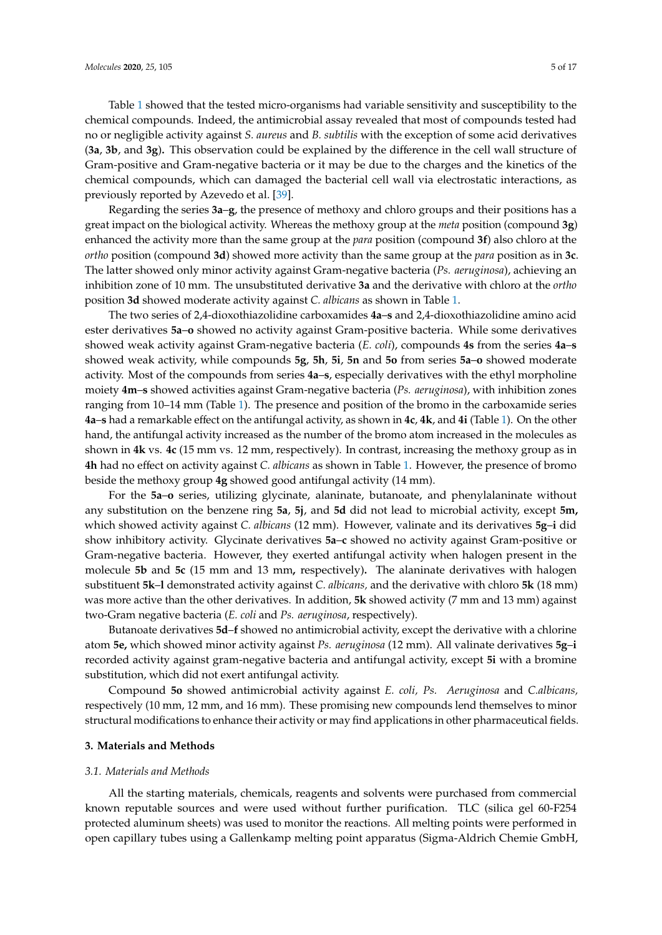Table [1](#page-3-0) showed that the tested micro-organisms had variable sensitivity and susceptibility to the chemical compounds. Indeed, the antimicrobial assay revealed that most of compounds tested had no or negligible activity against *S. aureus* and *B. subtilis* with the exception of some acid derivatives (**3a**, **3b**, and **3g**)**.** This observation could be explained by the difference in the cell wall structure of Gram-positive and Gram-negative bacteria or it may be due to the charges and the kinetics of the chemical compounds, which can damaged the bacterial cell wall via electrostatic interactions, as previously reported by Azevedo et al. [\[39\]](#page-16-0).

Regarding the series **3a**–**g**, the presence of methoxy and chloro groups and their positions has a great impact on the biological activity. Whereas the methoxy group at the *meta* position (compound **3g**) enhanced the activity more than the same group at the *para* position (compound **3f**) also chloro at the *ortho* position (compound **3d**) showed more activity than the same group at the *para* position as in **3c**. The latter showed only minor activity against Gram-negative bacteria (*Ps. aeruginosa*), achieving an inhibition zone of 10 mm. The unsubstituted derivative **3a** and the derivative with chloro at the *ortho* position **3d** showed moderate activity against *C. albicans* as shown in Table [1.](#page-3-0)

The two series of 2,4-dioxothiazolidine carboxamides **4a**–**s** and 2,4-dioxothiazolidine amino acid ester derivatives **5a**–**o** showed no activity against Gram-positive bacteria. While some derivatives showed weak activity against Gram-negative bacteria (*E. coli*), compounds **4s** from the series **4a**–**s** showed weak activity, while compounds **5g**, **5h**, **5i**, **5n** and **5o** from series **5a**–**o** showed moderate activity. Most of the compounds from series **4a**–**s**, especially derivatives with the ethyl morpholine moiety **4m**–**s** showed activities against Gram-negative bacteria (*Ps. aeruginosa*), with inhibition zones ranging from 10–14 mm (Table [1\)](#page-3-0). The presence and position of the bromo in the carboxamide series **4a**–**s** had a remarkable effect on the antifungal activity, as shown in **4c**, **4k**, and **4i** (Table [1\)](#page-3-0). On the other hand, the antifungal activity increased as the number of the bromo atom increased in the molecules as shown in **4k** vs. **4c** (15 mm vs. 12 mm, respectively). In contrast, increasing the methoxy group as in **4h** had no effect on activity against *C. albicans* as shown in Table [1.](#page-3-0) However, the presence of bromo beside the methoxy group **4g** showed good antifungal activity (14 mm).

For the **5a**–**o** series, utilizing glycinate, alaninate, butanoate, and phenylalaninate without any substitution on the benzene ring **5a**, **5j**, and **5d** did not lead to microbial activity, except **5m,** which showed activity against *C. albicans* (12 mm). However, valinate and its derivatives **5g**–**i** did show inhibitory activity. Glycinate derivatives **5a**–**c** showed no activity against Gram-positive or Gram-negative bacteria. However, they exerted antifungal activity when halogen present in the molecule **5b** and **5c** (15 mm and 13 mm**,** respectively)**.** The alaninate derivatives with halogen substituent **5k**–**l** demonstrated activity against *C. albicans,* and the derivative with chloro **5k** (18 mm) was more active than the other derivatives. In addition, **5k** showed activity (7 mm and 13 mm) against two-Gram negative bacteria (*E. coli* and *Ps. aeruginosa*, respectively).

Butanoate derivatives **5d**–**f** showed no antimicrobial activity, except the derivative with a chlorine atom **5e,** which showed minor activity against *Ps. aeruginosa* (12 mm). All valinate derivatives **5g**–**i** recorded activity against gram-negative bacteria and antifungal activity, except **5i** with a bromine substitution, which did not exert antifungal activity.

Compound **5o** showed antimicrobial activity against *E. coli, Ps. Aeruginosa* and *C.albicans,* respectively (10 mm, 12 mm, and 16 mm). These promising new compounds lend themselves to minor structural modifications to enhance their activity or may find applications in other pharmaceutical fields.

#### **3. Materials and Methods**

#### *3.1. Materials and Methods*

All the starting materials, chemicals, reagents and solvents were purchased from commercial known reputable sources and were used without further purification. TLC (silica gel 60-F254 protected aluminum sheets) was used to monitor the reactions. All melting points were performed in open capillary tubes using a Gallenkamp melting point apparatus (Sigma-Aldrich Chemie GmbH,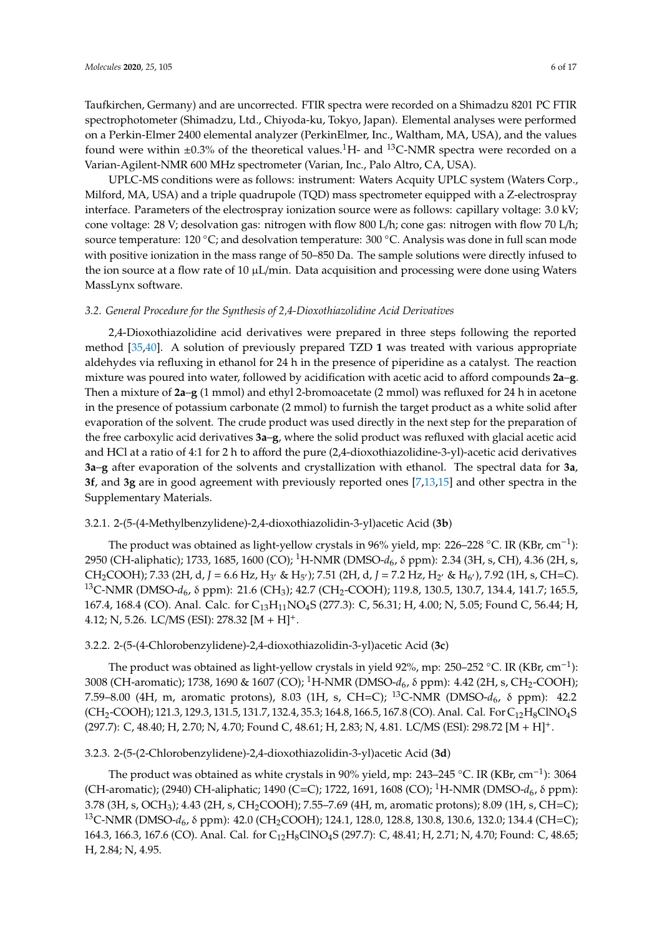Taufkirchen, Germany) and are uncorrected. FTIR spectra were recorded on a Shimadzu 8201 PC FTIR spectrophotometer (Shimadzu, Ltd., Chiyoda-ku, Tokyo, Japan). Elemental analyses were performed on a Perkin-Elmer 2400 elemental analyzer (PerkinElmer, Inc., Waltham, MA, USA), and the values found were within  $\pm 0.3\%$  of the theoretical values.<sup>1</sup>H- and <sup>13</sup>C-NMR spectra were recorded on a Varian-Agilent-NMR 600 MHz spectrometer (Varian, Inc., Palo Altro, CA, USA).

UPLC-MS conditions were as follows: instrument: Waters Acquity UPLC system (Waters Corp., Milford, MA, USA) and a triple quadrupole (TQD) mass spectrometer equipped with a Z-electrospray interface. Parameters of the electrospray ionization source were as follows: capillary voltage: 3.0 kV; cone voltage: 28 V; desolvation gas: nitrogen with flow 800 L/h; cone gas: nitrogen with flow 70 L/h; source temperature: 120 °C; and desolvation temperature: 300 °C. Analysis was done in full scan mode with positive ionization in the mass range of 50–850 Da. The sample solutions were directly infused to the ion source at a flow rate of 10  $\mu$ L/min. Data acquisition and processing were done using Waters MassLynx software.

#### *3.2. General Procedure for the Synthesis of 2,4-Dioxothiazolidine Acid Derivatives*

2,4-Dioxothiazolidine acid derivatives were prepared in three steps following the reported method [\[35](#page-15-6)[,40\]](#page-16-1). A solution of previously prepared TZD **1** was treated with various appropriate aldehydes via refluxing in ethanol for 24 h in the presence of piperidine as a catalyst. The reaction mixture was poured into water, followed by acidification with acetic acid to afford compounds **2a**–**g**. Then a mixture of **2a**–**g** (1 mmol) and ethyl 2-bromoacetate (2 mmol) was refluxed for 24 h in acetone in the presence of potassium carbonate (2 mmol) to furnish the target product as a white solid after evaporation of the solvent. The crude product was used directly in the next step for the preparation of the free carboxylic acid derivatives **3a**–**g**, where the solid product was refluxed with glacial acetic acid and HCl at a ratio of 4:1 for 2 h to afford the pure (2,4-dioxothiazolidine-3-yl)-acetic acid derivatives **3a**–**g** after evaporation of the solvents and crystallization with ethanol. The spectral data for **3a**, **3f**, and **3g** are in good agreement with previously reported ones [\[7,](#page-14-1)[13,](#page-14-3)[15\]](#page-14-8) and other spectra in the Supplementary Materials.

## 3.2.1. 2-(5-(4-Methylbenzylidene)-2,4-dioxothiazolidin-3-yl)acetic Acid (**3b**)

The product was obtained as light-yellow crystals in 96% yield, mp: 226–228 °C. IR (KBr, cm<sup>-1</sup>): 2950 (CH-aliphatic); 1733, 1685, 1600 (CO); <sup>1</sup>H-NMR (DMSO-*d*6, δ ppm): 2.34 (3H, s, CH), 4.36 (2H, s, CH<sub>2</sub>COOH); 7.33 (2H, d, J = 6.6 Hz, H<sub>3'</sub> & H<sub>5'</sub>); 7.51 (2H, d, J = 7.2 Hz, H<sub>2'</sub> & H<sub>6'</sub>), 7.92 (1H, s, CH=C). <sup>13</sup>C-NMR (DMSO-*d*<sub>6</sub>, δ ppm): 21.6 (CH<sub>3</sub>); 42.7 (CH<sub>2</sub>-COOH); 119.8, 130.5, 130.7, 134.4, 141.7; 165.5, 167.4, 168.4 (CO). Anal. Calc. for C<sub>13</sub>H<sub>11</sub>NO<sub>4</sub>S (277.3): C, 56.31; H, 4.00; N, 5.05; Found C, 56.44; H, 4.12; N, 5.26. LC/MS (ESI):  $278.32$  [M + H]<sup>+</sup>.

## 3.2.2. 2-(5-(4-Chlorobenzylidene)-2,4-dioxothiazolidin-3-yl)acetic Acid (**3c**)

The product was obtained as light-yellow crystals in yield 92%, mp: 250–252 °C. IR (KBr, cm<sup>-1</sup>): 3008 (CH-aromatic); 1738, 1690 & 1607 (CO); <sup>1</sup>H-NMR (DMSO-*d*6, δ ppm): 4.42 (2H, s, CH2-COOH); 7.59–8.00 (4H, m, aromatic protons), 8.03 (1H, s, CH=C); <sup>13</sup>C-NMR (DMSO-d<sub>6</sub>, δ ppm): 42.2  $(CH_2\text{-COOH})$ ; 121.3, 129.3, 131.5, 131.7, 132.4, 35.3; 164.8, 166.5, 167.8 (CO). Anal. Cal. For  $C_{12}H_8CINO_4S$ (297.7): C, 48.40; H, 2.70; N, 4.70; Found C, 48.61; H, 2.83; N, 4.81. LC/MS (ESI): 298.72 [M + H]+.

## 3.2.3. 2-(5-(2-Chlorobenzylidene)-2,4-dioxothiazolidin-3-yl)acetic Acid (**3d**)

The product was obtained as white crystals in 90% yield, mp: 243–245 °C. IR (KBr, cm<sup>-1</sup>): 3064 (CH-aromatic); (2940) CH-aliphatic; 1490 (C=C); 1722, 1691, 1608 (CO); <sup>1</sup>H-NMR (DMSO-*d*<sub>6</sub>, δ ppm): 3.78 (3H, s, OCH3); 4.43 (2H, s, CH2COOH); 7.55–7.69 (4H, m, aromatic protons); 8.09 (1H, s, CH=C); <sup>13</sup>C-NMR (DMSO-d<sub>6</sub>, δ ppm): 42.0 (CH<sub>2</sub>COOH); 124.1, 128.0, 128.8, 130.8, 130.6, 132.0; 134.4 (CH=C); 164.3, 166.3, 167.6 (CO). Anal. Cal. for C<sub>12</sub>H<sub>8</sub>ClNO<sub>4</sub>S (297.7): C, 48.41; H, 2.71; N, 4.70; Found: C, 48.65; H, 2.84; N, 4.95.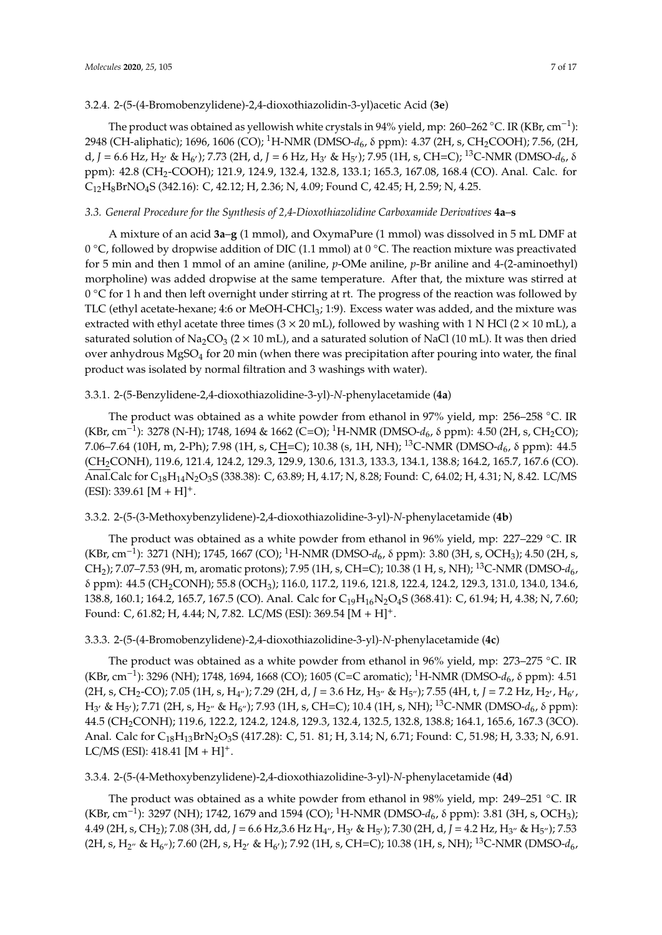#### 3.2.4. 2-(5-(4-Bromobenzylidene)-2,4-dioxothiazolidin-3-yl)acetic Acid (**3e**)

The product was obtained as yellowish white crystals in 94% yield, mp: 260–262 °C. IR (KBr, cm<sup>-1</sup>): 2948 (CH-aliphatic); 1696, 1606 (CO); <sup>1</sup>H-NMR (DMSO-*d*6, δ ppm): 4.37 (2H, s, CH2COOH); 7.56, (2H, d, *J* = 6.6 Hz, H<sub>2</sub><sup>,</sup> & H<sub>6</sub><sup>,</sup>); 7.73 (2H, d, *J* = 6 Hz, H<sub>3</sub><sup>,</sup> & H<sub>5</sub><sup>,</sup>); 7.95 (1H, s, CH=C); <sup>13</sup>C-NMR (DMSO-d<sub>6</sub>,  $\delta$ ppm): 42.8 (CH2-COOH); 121.9, 124.9, 132.4, 132.8, 133.1; 165.3, 167.08, 168.4 (CO). Anal. Calc. for C12H8BrNO4S (342.16): C, 42.12; H, 2.36; N, 4.09; Found C, 42.45; H, 2.59; N, 4.25.

## *3.3. General Procedure for the Synthesis of 2,4-Dioxothiazolidine Carboxamide Derivatives* **4a**–**s**

A mixture of an acid **3a**–**g** (1 mmol), and OxymaPure (1 mmol) was dissolved in 5 mL DMF at 0 ◦C, followed by dropwise addition of DIC (1.1 mmol) at 0 ◦C. The reaction mixture was preactivated for 5 min and then 1 mmol of an amine (aniline, *p*-OMe aniline, *p*-Br aniline and 4-(2-aminoethyl) morpholine) was added dropwise at the same temperature. After that, the mixture was stirred at 0 °C for 1 h and then left overnight under stirring at rt. The progress of the reaction was followed by TLC (ethyl acetate-hexane; 4:6 or MeOH-CHCl<sub>3</sub>; 1:9). Excess water was added, and the mixture was extracted with ethyl acetate three times ( $3 \times 20$  mL), followed by washing with 1 N HCl ( $2 \times 10$  mL), a saturated solution of Na<sub>2</sub>CO<sub>3</sub> ( $2 \times 10$  mL), and a saturated solution of NaCl (10 mL). It was then dried over anhydrous MgSO<sub>4</sub> for 20 min (when there was precipitation after pouring into water, the final product was isolated by normal filtration and 3 washings with water).

#### 3.3.1. 2-(5-Benzylidene-2,4-dioxothiazolidine-3-yl)*-N-*phenylacetamide (**4a**)

The product was obtained as a white powder from ethanol in 97% yield, mp: 256–258 ◦C. IR (KBr, cm−<sup>1</sup> ): 3278 (N-H); 1748, 1694 & 1662 (C=O); <sup>1</sup>H-NMR (DMSO-*d*6, δ ppm): 4.50 (2H, s, CH2CO); 7.06–7.64 (10H, m, 2-Ph); 7.98 (1H, s, CH=C); 10.38 (s, 1H, NH); <sup>13</sup>C-NMR (DMSO-*d*6, δ ppm): 44.5 (CH2CONH), 119.6, 121.4, 124.2, 129.3, 129.9, 130.6, 131.3, 133.3, 134.1, 138.8; 164.2, 165.7, 167.6 (CO). Anal.Calc for C<sub>18</sub>H<sub>14</sub>N<sub>2</sub>O<sub>3</sub>S (338.38): C, 63.89; H, 4.17; N, 8.28; Found: C, 64.02; H, 4.31; N, 8.42. LC/MS  $(ESI): 339.61 [M + H]^{+}.$ 

## 3.3.2. 2-(5-(3-Methoxybenzylidene)-2,4-dioxothiazolidine-3-yl)*-N-*phenylacetamide (**4b**)

The product was obtained as a white powder from ethanol in 96% yield, mp: 227–229 °C. IR (KBr, cm−<sup>1</sup> ): 3271 (NH); 1745, 1667 (CO); <sup>1</sup>H-NMR (DMSO-*d*6, δ ppm): 3.80 (3H, s, OCH3); 4.50 (2H, s, CH2); 7.07–7.53 (9H, m, aromatic protons); 7.95 (1H, s, CH=C); 10.38 (1 H, s, NH); <sup>13</sup>C-NMR (DMSO-*d*6, δ ppm): 44.5 (CH2CONH); 55.8 (OCH3); 116.0, 117.2, 119.6, 121.8, 122.4, 124.2, 129.3, 131.0, 134.0, 134.6, 138.8, 160.1; 164.2, 165.7, 167.5 (CO). Anal. Calc for C<sub>19</sub>H<sub>16</sub>N<sub>2</sub>O<sub>4</sub>S (368.41): C, 61.94; H, 4.38; N, 7.60; Found: C, 61.82; H, 4.44; N, 7.82. LC/MS (ESI): 369.54 [M + H]+.

#### 3.3.3. 2-(5-(4-Bromobenzylidene)-2,4-dioxothiazolidine-3-yl)*-N-*phenylacetamide (**4c**)

The product was obtained as a white powder from ethanol in 96% yield, mp: 273–275 ◦C. IR (KBr, cm−<sup>1</sup> ): 3296 (NH); 1748, 1694, 1668 (CO); 1605 (C=C aromatic); <sup>1</sup>H-NMR (DMSO-*d*6, δ ppm): 4.51  $(2H, s, CH_2\text{-}CO)$ ; 7.05  $(1H, s, H_{4''})$ ; 7.29  $(2H, d, J = 3.6 \text{ Hz}, H_{3''} \& H_{5''})$ ; 7.55  $(4H, t, J = 7.2 \text{ Hz}, H_{2'}, H_{6'},$ H<sup>3</sup> <sup>0</sup> & H<sup>5</sup> <sup>0</sup>); 7.71 (2H, s, H2" & H6"); 7.93 (1H, s, CH=C); 10.4 (1H, s, NH); <sup>13</sup>C-NMR (DMSO-*d*6, δ ppm): 44.5 (CH<sub>2</sub>CONH); 119.6, 122.2, 124.2, 124.8, 129.3, 132.4, 132.5, 132.8, 138.8; 164.1, 165.6, 167.3 (3CO). Anal. Calc for C<sub>18</sub>H<sub>13</sub>BrN<sub>2</sub>O<sub>3</sub>S (417.28): C, 51. 81; H, 3.14; N, 6.71; Found: C, 51.98; H, 3.33; N, 6.91. LC/MS (ESI):  $418.41$  [M + H]<sup>+</sup>.

## 3.3.4. 2-(5-(4-Methoxybenzylidene)-2,4-dioxothiazolidine-3-yl)*-N-*phenylacetamide (**4d**)

The product was obtained as a white powder from ethanol in 98% yield, mp: 249–251 °C. IR (KBr, cm<sup>-1</sup>): 3297 (NH); 1742, 1679 and 1594 (CO); <sup>1</sup>H-NMR (DMSO-*d*<sub>6</sub>, δ ppm): 3.81 (3H, s, OCH<sub>3</sub>); 4.49 (2H, s, CH<sub>2</sub>); 7.08 (3H, dd, J = 6.6 Hz,3.6 Hz H<sub>4"</sub>, H<sub>3'</sub> & H<sub>5'</sub>); 7.30 (2H, d, J = 4.2 Hz, H<sub>3"</sub> & H<sub>5"</sub>); 7.53 (2H, s, H<sub>2"</sub> & H<sub>6"</sub>); 7.60 (2H, s, H<sub>2'</sub> & H<sub>6'</sub>); 7.92 (1H, s, CH=C); 10.38 (1H, s, NH); <sup>13</sup>C-NMR (DMSO- $d_6$ ,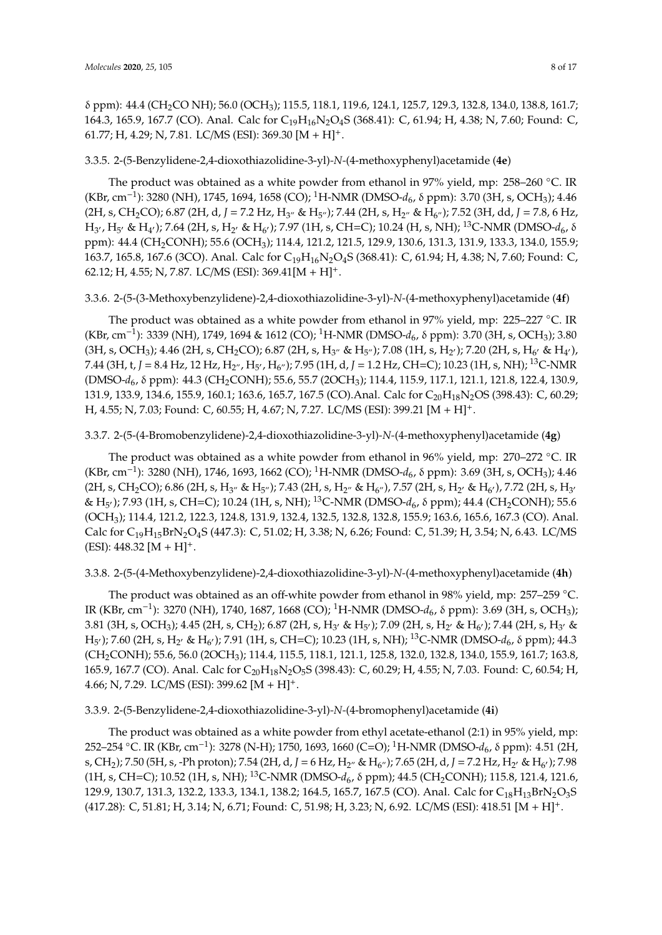δ ppm): 44.4 (CH2CO NH); 56.0 (OCH3); 115.5, 118.1, 119.6, 124.1, 125.7, 129.3, 132.8, 134.0, 138.8, 161.7; 164.3, 165.9, 167.7 (CO). Anal. Calc for C<sub>19</sub>H<sub>16</sub>N<sub>2</sub>O<sub>4</sub>S (368.41): C, 61.94; H, 4.38; N, 7.60; Found: C, 61.77; H, 4.29; N, 7.81. LC/MS (ESI): 369.30  $[M + H]$ <sup>+</sup>.

## 3.3.5. 2-(5-Benzylidene-2,4-dioxothiazolidine-3-yl)*-N-*(4-methoxyphenyl)acetamide (**4e**)

The product was obtained as a white powder from ethanol in 97% yield, mp: 258–260  $\degree$ C. IR (KBr, cm−<sup>1</sup> ): 3280 (NH), 1745, 1694, 1658 (CO); <sup>1</sup>H-NMR (DMSO-*d*6, δ ppm): 3.70 (3H, s, OCH3); 4.46 (2H, s, CH<sub>2</sub>CO); 6.87 (2H, d, *J* = 7.2 Hz, H<sub>3"</sub> & H<sub>5"</sub>); 7.44 (2H, s, H<sub>2"</sub> & H<sub>6"</sub>); 7.52 (3H, dd, *J* = 7.8, 6 Hz, H<sub>3'</sub>, H<sub>5'</sub> & H<sub>4'</sub>); 7.64 (2H, s, H<sub>2'</sub> & H<sub>6'</sub>); 7.97 (1H, s, CH=C); 10.24 (H, s, NH); <sup>13</sup>C-NMR (DMSO-d<sub>6</sub>, δ ppm): 44.4 (CH2CONH); 55.6 (OCH3); 114.4, 121.2, 121.5, 129.9, 130.6, 131.3, 131.9, 133.3, 134.0, 155.9; 163.7, 165.8, 167.6 (3CO). Anal. Calc for C<sub>19</sub>H<sub>16</sub>N<sub>2</sub>O<sub>4</sub>S (368.41): C, 61.94; H, 4.38; N, 7.60; Found: C, 62.12; H, 4.55; N, 7.87. LC/MS (ESI): 369.41[M + H]+.

#### 3.3.6. 2-(5-(3-Methoxybenzylidene)-2,4-dioxothiazolidine-3-yl)*-N-*(4-methoxyphenyl)acetamide (**4f**)

The product was obtained as a white powder from ethanol in 97% yield, mp: 225–227 °C. IR (KBr, cm−<sup>1</sup> ): 3339 (NH), 1749, 1694 & 1612 (CO); <sup>1</sup>H-NMR (DMSO-*d*6, δ ppm): 3.70 (3H, s, OCH3); 3.80 (3H, s, OCH<sub>3</sub>); 4.46 (2H, s, CH<sub>2</sub>CO); 6.87 (2H, s, H<sub>3"</sub> & H<sub>5"</sub>); 7.08 (1H, s, H<sub>2'</sub>); 7.20 (2H, s, H<sub>6'</sub> & H<sub>4'</sub>), 7.44 (3H, t, *J* = 8.4 Hz, 12 Hz, H<sub>2"</sub>, H<sub>5'</sub>, H<sub>6"</sub>); 7.95 (1H, d, *J* = 1.2 Hz, CH=C); 10.23 (1H, s, NH); <sup>13</sup>C-NMR (DMSO-*d*6, δ ppm): 44.3 (CH2CONH); 55.6, 55.7 (2OCH3); 114.4, 115.9, 117.1, 121.1, 121.8, 122.4, 130.9, 131.9, 133.9, 134.6, 155.9, 160.1; 163.6, 165.7, 167.5 (CO). Anal. Calc for C<sub>20</sub>H<sub>18</sub>N<sub>2</sub>OS (398.43): C, 60.29; H, 4.55; N, 7.03; Found: C, 60.55; H, 4.67; N, 7.27. LC/MS (ESI): 399.21 [M + H]+.

#### 3.3.7. 2-(5-(4-Bromobenzylidene)-2,4-dioxothiazolidine-3-yl)*-N-*(4-methoxyphenyl)acetamide (**4g**)

The product was obtained as a white powder from ethanol in 96% yield, mp: 270–272  $\degree$ C. IR (KBr, cm−<sup>1</sup> ): 3280 (NH), 1746, 1693, 1662 (CO); <sup>1</sup>H-NMR (DMSO-*d*6, δ ppm): 3.69 (3H, s, OCH3); 4.46 (2H, s, CH<sub>2</sub>CO); 6.86 (2H, s, H<sub>3"</sub> & H<sub>5"</sub>); 7.43 (2H, s, H<sub>2"</sub> & H<sub>6"</sub>), 7.57 (2H, s, H<sub>2'</sub> & H<sub>6'</sub>), 7.72 (2H, s, H<sub>3'</sub> & H<sub>5'</sub>); 7.93 (1H, s, CH=C); 10.24 (1H, s, NH); <sup>13</sup>C-NMR (DMSO-d<sub>6</sub>, δ ppm); 44.4 (CH<sub>2</sub>CONH); 55.6 (OCH3); 114.4, 121.2, 122.3, 124.8, 131.9, 132.4, 132.5, 132.8, 132.8, 155.9; 163.6, 165.6, 167.3 (CO). Anal. Calc for C<sub>19</sub>H<sub>15</sub>BrN<sub>2</sub>O<sub>4</sub>S (447.3): C, 51.02; H, 3.38; N, 6.26; Found: C, 51.39; H, 3.54; N, 6.43. LC/MS  $(ESI): 448.32 [M + H]^{+}.$ 

#### 3.3.8. 2-(5-(4-Methoxybenzylidene)-2,4-dioxothiazolidine-3-yl)*-N-*(4-methoxyphenyl)acetamide (**4h**)

The product was obtained as an off-white powder from ethanol in 98% yield, mp: 257–259 °C. IR (KBr, cm<sup>-1</sup>): 3270 (NH), 1740, 1687, 1668 (CO); <sup>1</sup>H-NMR (DMSO-d<sub>6</sub>, δ ppm): 3.69 (3H, s, OCH<sub>3</sub>); 3.81 (3H, s, OCH<sub>3</sub>); 4.45 (2H, s, CH<sub>2</sub>); 6.87 (2H, s, H<sub>3'</sub> & H<sub>5'</sub>); 7.09 (2H, s, H<sub>2'</sub> & H<sub>6'</sub>); 7.44 (2H, s, H<sub>3'</sub> & H<sub>5'</sub>); 7.60 (2H, s, H<sub>2'</sub> & H<sub>6'</sub>); 7.91 (1H, s, CH=C); 10.23 (1H, s, NH); <sup>13</sup>C-NMR (DMSO-d<sub>6</sub>, δ ppm); 44.3 (CH2CONH); 55.6, 56.0 (2OCH3); 114.4, 115.5, 118.1, 121.1, 125.8, 132.0, 132.8, 134.0, 155.9, 161.7; 163.8, 165.9, 167.7 (CO). Anal. Calc for C<sub>20</sub>H<sub>18</sub>N<sub>2</sub>O<sub>5</sub>S (398.43): C, 60.29; H, 4.55; N, 7.03. Found: C, 60.54; H, 4.66; N, 7.29. LC/MS (ESI): 399.62  $[M + H]$ <sup>+</sup>.

#### 3.3.9. 2-(5-Benzylidene-2,4-dioxothiazolidine-3-yl)*-N-*(4-bromophenyl)acetamide (**4i**)

The product was obtained as a white powder from ethyl acetate-ethanol (2:1) in 95% yield, mp: 252–254 ◦C. IR (KBr, cm−<sup>1</sup> ): 3278 (N-H); 1750, 1693, 1660 (C=O); <sup>1</sup>H-NMR (DMSO-*d*6, δ ppm): 4.51 (2H, s, CH<sub>2</sub>); 7.50 (5H, s, -Ph proton); 7.54 (2H, d, J = 6 Hz, H<sub>2"</sub> & H<sub>6"</sub>); 7.65 (2H, d, J = 7.2 Hz, H<sub>2'</sub> & H<sub>6'</sub>); 7.98 (1H, s, CH=C); 10.52 (1H, s, NH); <sup>13</sup>C-NMR (DMSO- $d_6$ , δ ppm); 44.5 (CH<sub>2</sub>CONH); 115.8, 121.4, 121.6, 129.9, 130.7, 131.3, 132.2, 133.3, 134.1, 138.2; 164.5, 165.7, 167.5 (CO). Anal. Calc for C<sub>18</sub>H<sub>13</sub>BrN<sub>2</sub>O<sub>3</sub>S (417.28): C, 51.81; H, 3.14; N, 6.71; Found: C, 51.98; H, 3.23; N, 6.92. LC/MS (ESI): 418.51 [M + H]+.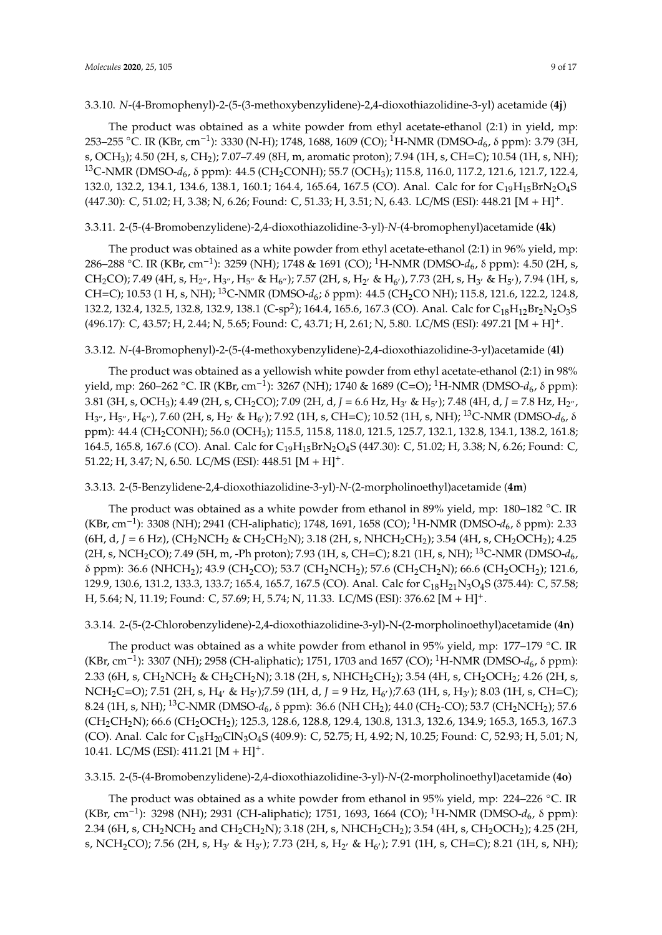#### 3.3.10. *N*-(4-Bromophenyl)-2-(5-(3-methoxybenzylidene)-2,4-dioxothiazolidine-3-yl) acetamide (**4j**)

The product was obtained as a white powder from ethyl acetate-ethanol (2:1) in yield, mp: 253–255 ◦C. IR (KBr, cm−<sup>1</sup> ): 3330 (N-H); 1748, 1688, 1609 (CO); <sup>1</sup>H-NMR (DMSO-*d*6, δ ppm): 3.79 (3H, s, OCH<sub>3</sub>); 4.50 (2H, s, CH<sub>2</sub>); 7.07-7.49 (8H, m, aromatic proton); 7.94 (1H, s, CH=C); 10.54 (1H, s, NH); <sup>13</sup>C-NMR (DMSO-d<sub>6</sub>, δ ppm): 44.5 (CH<sub>2</sub>CONH); 55.7 (OCH<sub>3</sub>); 115.8, 116.0, 117.2, 121.6, 121.7, 122.4, 132.0, 132.2, 134.1, 134.6, 138.1, 160.1; 164.4, 165.64, 167.5 (CO). Anal. Calc for for C<sub>19</sub>H<sub>15</sub>BrN<sub>2</sub>O<sub>4</sub>S (447.30): C, 51.02; H, 3.38; N, 6.26; Found: C, 51.33; H, 3.51; N, 6.43. LC/MS (ESI): 448.21 [M + H]+.

## 3.3.11. 2-(5-(4-Bromobenzylidene)-2,4-dioxothiazolidine-3-yl)*-N-*(4-bromophenyl)acetamide (**4k**)

The product was obtained as a white powder from ethyl acetate-ethanol (2:1) in 96% yield, mp: 286–288 ◦C. IR (KBr, cm−<sup>1</sup> ): 3259 (NH); 1748 & 1691 (CO); <sup>1</sup>H-NMR (DMSO-*d*6, δ ppm): 4.50 (2H, s,  $CH_2CO$ ); 7.49 (4H, s, H<sub>2"</sub>, H<sub>3"</sub>, H<sub>5"</sub> & H<sub>6"</sub>); 7.57 (2H, s, H<sub>2'</sub> & H<sub>6'</sub>), 7.73 (2H, s, H<sub>3'</sub> & H<sub>5'</sub>), 7.94 (1H, s, CH=C); 10.53 (1 H, s, NH); <sup>13</sup>C-NMR (DMSO-d<sub>6</sub>; δ ppm): 44.5 (CH<sub>2</sub>CO NH); 115.8, 121.6, 122.2, 124.8, 132.2, 132.4, 132.5, 132.8, 132.9, 138.1 (C-sp<sup>2</sup>); 164.4, 165.6, 167.3 (CO). Anal. Calc for  $\rm{C_{18}H_{12}Br_2N_2O_3S}$ (496.17): C, 43.57; H, 2.44; N, 5.65; Found: C, 43.71; H, 2.61; N, 5.80. LC/MS (ESI): 497.21 [M + H]+.

#### 3.3.12. *N*-(4-Bromophenyl)-2-(5-(4-methoxybenzylidene)-2,4-dioxothiazolidine-3-yl)acetamide (**4l**)

The product was obtained as a yellowish white powder from ethyl acetate-ethanol (2:1) in 98% yield, mp: 260–262 ◦C. IR (KBr, cm−<sup>1</sup> ): 3267 (NH); 1740 & 1689 (C=O); <sup>1</sup>H-NMR (DMSO-*d*6, δ ppm): 3.81 (3H, s, OCH<sub>3</sub>); 4.49 (2H, s, CH<sub>2</sub>CO); 7.09 (2H, d, J = 6.6 Hz, H<sub>3</sub>, & H<sub>5</sub>, ); 7.48 (4H, d, J = 7.8 Hz, H<sub>2"</sub>,  $\rm H_{3''}$ ,  $\rm H_{5''}$ ,  $\rm H_{6''}$ ), 7.60 (2H, s,  $\rm H_{2'}$  &  $\rm H_{6'}$ ); 7.92 (1H, s, CH=C); 10.52 (1H, s, NH); <sup>13</sup>C-NMR (DMSO- $d_6$ ,  $\delta$ ppm): 44.4 (CH2CONH); 56.0 (OCH3); 115.5, 115.8, 118.0, 121.5, 125.7, 132.1, 132.8, 134.1, 138.2, 161.8; 164.5, 165.8, 167.6 (CO). Anal. Calc for C<sub>19</sub>H<sub>15</sub>BrN<sub>2</sub>O<sub>4</sub>S (447.30): C, 51.02; H, 3.38; N, 6.26; Found: C, 51.22; H, 3.47; N, 6.50. LC/MS (ESI): 448.51 [M + H]+.

## 3.3.13. 2-(5-Benzylidene-2,4-dioxothiazolidine-3-yl)*-N-*(2-morpholinoethyl)acetamide (**4m**)

The product was obtained as a white powder from ethanol in 89% yield, mp: 180–182 °C. IR (KBr, cm−<sup>1</sup> ): 3308 (NH); 2941 (CH-aliphatic); 1748, 1691, 1658 (CO); <sup>1</sup>H-NMR (DMSO-*d*6, δ ppm): 2.33 (6H, d, J = 6 Hz), (CH<sub>2</sub>NCH<sub>2</sub> & CH<sub>2</sub>CH<sub>2</sub>N); 3.18 (2H, s, NHCH<sub>2</sub>CH<sub>2</sub>); 3.54 (4H, s, CH<sub>2</sub>OCH<sub>2</sub>); 4.25 (2H, s, NCH<sub>2</sub>CO); 7.49 (5H, m, -Ph proton); 7.93 (1H, s, CH=C); 8.21 (1H, s, NH); <sup>13</sup>C-NMR (DMSO- $d_{6}$ , δ ppm): 36.6 (NHCH2); 43.9 (CH2CO); 53.7 (CH2NCH2); 57.6 (CH2CH2N); 66.6 (CH2OCH2); 121.6, 129.9, 130.6, 131.2, 133.3, 133.7; 165.4, 165.7, 167.5 (CO). Anal. Calc for C<sub>18</sub>H<sub>21</sub>N<sub>3</sub>O<sub>4</sub>S (375.44): C, 57.58; H, 5.64; N, 11.19; Found: C, 57.69; H, 5.74; N, 11.33. LC/MS (ESI): 376.62 [M + H]+.

## 3.3.14. 2-(5-(2-Chlorobenzylidene)-2,4-dioxothiazolidine-3-yl)-N-(2-morpholinoethyl)acetamide (**4n**)

The product was obtained as a white powder from ethanol in 95% yield, mp: 177–179 ◦C. IR (KBr, cm−<sup>1</sup> ): 3307 (NH); 2958 (CH-aliphatic); 1751, 1703 and 1657 (CO); <sup>1</sup>H-NMR (DMSO-*d*6, δ ppm): 2.33 (6H, s, CH<sub>2</sub>NCH<sub>2</sub> & CH<sub>2</sub>CH<sub>2</sub>N); 3.18 (2H, s, NHCH<sub>2</sub>CH<sub>2</sub>); 3.54 (4H, s, CH<sub>2</sub>OCH<sub>2</sub>; 4.26 (2H, s, NCH<sub>2</sub>C=O); 7.51 (2H, s, H<sub>4'</sub> & H<sub>5'</sub>);7.59 (1H, d, J = 9 Hz, H<sub>6'</sub>);7.63 (1H, s, H<sub>3'</sub>); 8.03 (1H, s, CH=C); 8.24 (1H, s, NH); <sup>13</sup>C-NMR (DMSO-d<sub>6</sub>, δ ppm): 36.6 (NH CH<sub>2</sub>); 44.0 (CH<sub>2</sub>-CO); 53.7 (CH<sub>2</sub>NCH<sub>2</sub>); 57.6 (CH<sub>2</sub>CH<sub>2</sub>N); 66.6 (CH<sub>2</sub>OCH<sub>2</sub>); 125.3, 128.6, 128.8, 129.4, 130.8, 131.3, 132.6, 134.9; 165.3, 165.3, 167.3 (CO). Anal. Calc for C<sub>18</sub>H<sub>20</sub>ClN<sub>3</sub>O<sub>4</sub>S (409.9): C, 52.75; H, 4.92; N, 10.25; Found: C, 52.93; H, 5.01; N, 10.41. LC/MS (ESI): 411.21 [M + H]+.

## 3.3.15. 2-(5-(4-Bromobenzylidene)-2,4-dioxothiazolidine-3-yl)*-N-*(2-morpholinoethyl)acetamide (**4o**)

The product was obtained as a white powder from ethanol in 95% yield, mp: 224–226 °C. IR (KBr, cm<sup>-1</sup>): 3298 (NH); 2931 (CH-aliphatic); 1751, 1693, 1664 (CO); <sup>1</sup>H-NMR (DMSO-*d*<sub>6</sub>, δ ppm): 2.34 (6H, s, CH<sub>2</sub>NCH<sub>2</sub> and CH<sub>2</sub>CH<sub>2</sub>N); 3.18 (2H, s, NHCH<sub>2</sub>CH<sub>2</sub>); 3.54 (4H, s, CH<sub>2</sub>OCH<sub>2</sub>); 4.25 (2H, s, NCH<sub>2</sub>CO); 7.56 (2H, s, H<sub>3'</sub> & H<sub>5'</sub>); 7.73 (2H, s, H<sub>2'</sub> & H<sub>6'</sub>); 7.91 (1H, s, CH=C); 8.21 (1H, s, NH);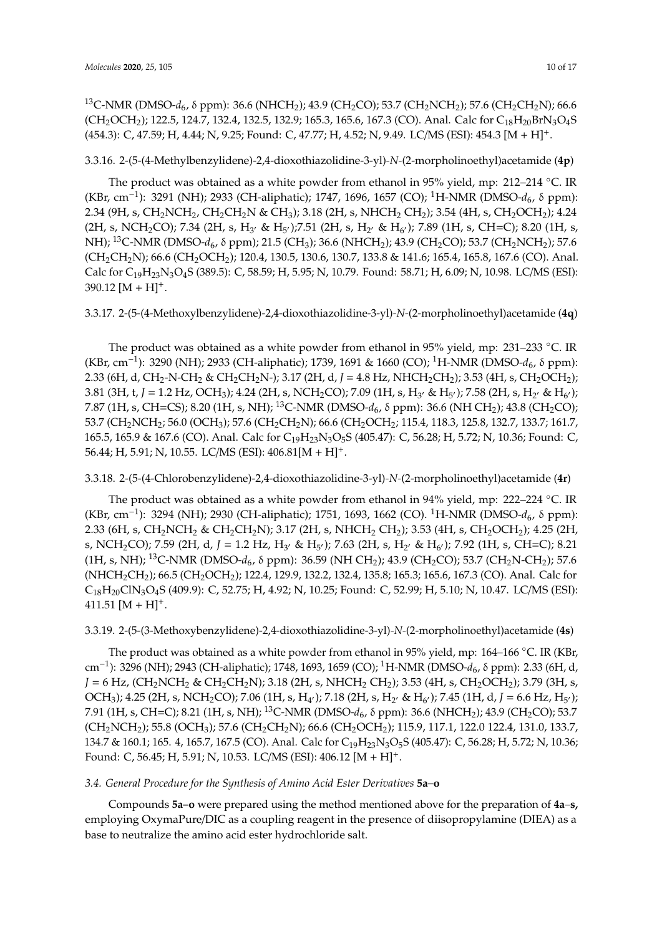<sup>13</sup>C-NMR (DMSO-*d<sub>6</sub>, δ* ppm): 36.6 (NHCH<sub>2</sub>); 43.9 (CH<sub>2</sub>CO); 53.7 (CH<sub>2</sub>NCH<sub>2</sub>); 57.6 (CH<sub>2</sub>CH<sub>2</sub>N); 66.6  $(CH_2OCH_2)$ ; 122.5, 124.7, 132.4, 132.5, 132.9; 165.3, 165.6, 167.3 (CO). Anal. Calc for  $C_{18}H_{20}BrN_3O_4S$ (454.3): C, 47.59; H, 4.44; N, 9.25; Found: C, 47.77; H, 4.52; N, 9.49. LC/MS (ESI): 454.3 [M + H]+.

3.3.16. 2-(5-(4-Methylbenzylidene)-2,4-dioxothiazolidine-3-yl)*-N-*(2-morpholinoethyl)acetamide (**4p**)

The product was obtained as a white powder from ethanol in 95% yield, mp: 212–214  $°C$ . IR (KBr, cm<sup>-1</sup>): 3291 (NH); 2933 (CH-aliphatic); 1747, 1696, 1657 (CO); <sup>1</sup>H-NMR (DMSO-*d*<sub>6</sub>, δ ppm): 2.34 (9H, s, CH<sub>2</sub>NCH<sub>2</sub>, CH<sub>2</sub>CH<sub>2</sub>N & CH<sub>3</sub>); 3.18 (2H, s, NHCH<sub>2</sub> CH<sub>2</sub>); 3.54 (4H, s, CH<sub>2</sub>OCH<sub>2</sub>); 4.24 (2H, s, NCH<sub>2</sub>CO); 7.34 (2H, s, H<sub>3'</sub> & H<sub>5'</sub>);7.51 (2H, s, H<sub>2'</sub> & H<sub>6'</sub>); 7.89 (1H, s, CH=C); 8.20 (1H, s, NH); <sup>13</sup>C-NMR (DMSO-*d*<sub>6</sub>, δ ppm); 21.5 (CH<sub>3</sub>); 36.6 (NHCH<sub>2</sub>); 43.9 (CH<sub>2</sub>CO); 53.7 (CH<sub>2</sub>NCH<sub>2</sub>); 57.6 (CH<sub>2</sub>CH<sub>2</sub>N); 66.6 (CH<sub>2</sub>OCH<sub>2</sub>); 120.4, 130.5, 130.6, 130.7, 133.8 & 141.6; 165.4, 165.8, 167.6 (CO). Anal. Calc for C19H23N3O4S (389.5): C, 58.59; H, 5.95; N, 10.79. Found: 58.71; H, 6.09; N, 10.98. LC/MS (ESI):  $390.12 [M + H]$ <sup>+</sup>.

3.3.17. 2-(5-(4-Methoxylbenzylidene)-2,4-dioxothiazolidine-3-yl)*-N-*(2-morpholinoethyl)acetamide (**4q**)

The product was obtained as a white powder from ethanol in 95% yield, mp: 231–233 ◦C. IR (KBr, cm−<sup>1</sup> ): 3290 (NH); 2933 (CH-aliphatic); 1739, 1691 & 1660 (CO); <sup>1</sup>H-NMR (DMSO-*d*6, δ ppm): 2.33 (6H, d, CH<sub>2</sub>-N-CH<sub>2</sub> & CH<sub>2</sub>CH<sub>2</sub>N-); 3.17 (2H, d, *J* = 4.8 Hz, NHCH<sub>2</sub>CH<sub>2</sub>); 3.53 (4H, s, CH<sub>2</sub>OCH<sub>2</sub>); 3.81 (3H, t, J = 1.2 Hz, OCH<sub>3</sub>); 4.24 (2H, s, NCH<sub>2</sub>CO); 7.09 (1H, s, H<sub>3</sub><sup>,</sup> & H<sub>5</sub><sup>,</sup>); 7.58 (2H, s, H<sub>2</sub><sup>,</sup> & H<sub>6</sub><sup>,</sup>); 7.87 (1H, s, CH=CS); 8.20 (1H, s, NH); <sup>13</sup>C-NMR (DMSO- $d_6$ , δ ppm): 36.6 (NH CH<sub>2</sub>); 43.8 (CH<sub>2</sub>CO); 53.7 (CH<sub>2</sub>NCH<sub>2</sub>; 56.0 (OCH<sub>3</sub>); 57.6 (CH<sub>2</sub>CH<sub>2</sub>N); 66.6 (CH<sub>2</sub>OCH<sub>2</sub>; 115.4, 118.3, 125.8, 132.7, 133.7; 161.7, 165.5, 165.9 & 167.6 (CO). Anal. Calc for C19H23N3O5S (405.47): C, 56.28; H, 5.72; N, 10.36; Found: C, 56.44; H, 5.91; N, 10.55. LC/MS (ESI): 406.81[M + H]+.

3.3.18. 2-(5-(4-Chlorobenzylidene)-2,4-dioxothiazolidine-3-yl)*-N-*(2-morpholinoethyl)acetamide (**4r**)

The product was obtained as a white powder from ethanol in 94% yield, mp: 222–224 ◦C. IR (KBr, cm<sup>-1</sup>): 3294 (NH); 2930 (CH-aliphatic); 1751, 1693, 1662 (CO). <sup>1</sup>H-NMR (DMSO-*d*<sub>6</sub>, δ ppm): 2.33 (6H, s, CH<sub>2</sub>NCH<sub>2</sub> & CH<sub>2</sub>CH<sub>2</sub>N); 3.17 (2H, s, NHCH<sub>2</sub> CH<sub>2</sub>); 3.53 (4H, s, CH<sub>2</sub>OCH<sub>2</sub>); 4.25 (2H, s, NCH<sub>2</sub>CO); 7.59 (2H, d, J = 1.2 Hz, H<sub>3'</sub> & H<sub>5'</sub>); 7.63 (2H, s, H<sub>2'</sub> & H<sub>6'</sub>); 7.92 (1H, s, CH=C); 8.21 (1H, s, NH); <sup>13</sup>C-NMR (DMSO-d<sub>6</sub>, δ ppm): 36.59 (NH CH<sub>2</sub>); 43.9 (CH<sub>2</sub>CO); 53.7 (CH<sub>2</sub>N-CH<sub>2</sub>); 57.6 (NHCH<sub>2</sub>CH<sub>2</sub>); 66.5 (CH<sub>2</sub>OCH<sub>2</sub>); 122.4, 129.9, 132.2, 132.4, 135.8; 165.3; 165.6, 167.3 (CO). Anal. Calc for C18H20ClN3O4S (409.9): C, 52.75; H, 4.92; N, 10.25; Found: C, 52.99; H, 5.10; N, 10.47. LC/MS (ESI): 411.51  $[M + H]$ <sup>+</sup>.

## 3.3.19. 2-(5-(3-Methoxybenzylidene)-2,4-dioxothiazolidine-3-yl)*-N-*(2-morpholinoethyl)acetamide (**4s**)

The product was obtained as a white powder from ethanol in 95% yield, mp: 164–166 ◦C. IR (KBr, cm−<sup>1</sup> ): 3296 (NH); 2943 (CH-aliphatic); 1748, 1693, 1659 (CO); <sup>1</sup>H-NMR (DMSO-*d*6, δ ppm): 2.33 (6H, d,  $J = 6$  Hz, (CH<sub>2</sub>NCH<sub>2</sub> & CH<sub>2</sub>CH<sub>2</sub>N); 3.18 (2H, s, NHCH<sub>2</sub> CH<sub>2</sub>); 3.53 (4H, s, CH<sub>2</sub>OCH<sub>2</sub>); 3.79 (3H, s, OCH<sub>3</sub>); 4.25 (2H, s, NCH<sub>2</sub>CO); 7.06 (1H, s, H<sub>4'</sub>); 7.18 (2H, s, H<sub>2'</sub> & H<sub>6'</sub>); 7.45 (1H, d, J = 6.6 Hz, H<sub>5'</sub>); 7.91 (1H, s, CH=C); 8.21 (1H, s, NH); <sup>13</sup>C-NMR (DMSO-d<sub>6</sub>, δ ppm): 36.6 (NHCH<sub>2</sub>); 43.9 (CH<sub>2</sub>CO); 53.7 (CH<sub>2</sub>NCH<sub>2</sub>); 55.8 (OCH<sub>3</sub>); 57.6 (CH<sub>2</sub>CH<sub>2</sub>N); 66.6 (CH<sub>2</sub>OCH<sub>2</sub>); 115.9, 117.1, 122.0 122.4, 131.0, 133.7, 134.7 & 160.1; 165. 4, 165.7, 167.5 (CO). Anal. Calc for C<sub>19</sub>H<sub>23</sub>N<sub>3</sub>O<sub>5</sub>S (405.47): C, 56.28; H, 5.72; N, 10.36; Found: C, 56.45; H, 5.91; N, 10.53. LC/MS (ESI): 406.12 [M + H]+.

## *3.4. General Procedure for the Synthesis of Amino Acid Ester Derivatives* **5a**–**o**

Compounds **5a–o** were prepared using the method mentioned above for the preparation of **4a**–**s,** employing OxymaPure/DIC as a coupling reagent in the presence of diisopropylamine (DIEA) as a base to neutralize the amino acid ester hydrochloride salt.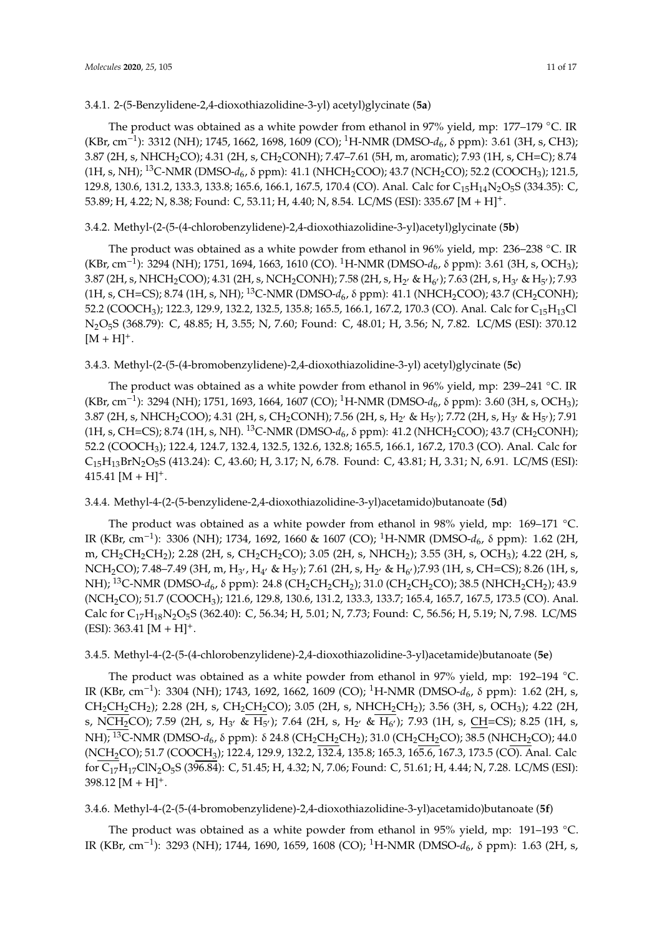# 3.4.1. 2-(5-Benzylidene-2,4-dioxothiazolidine-3-yl) acetyl)glycinate (**5a**)

The product was obtained as a white powder from ethanol in 97% yield, mp: 177–179 °C. IR (KBr, cm−<sup>1</sup> ): 3312 (NH); 1745, 1662, 1698, 1609 (CO); <sup>1</sup>H-NMR (DMSO-*d*6, δ ppm): 3.61 (3H, s, CH3); 3.87 (2H, s, NHCH<sub>2</sub>CO); 4.31 (2H, s, CH<sub>2</sub>CONH); 7.47-7.61 (5H, m, aromatic); 7.93 (1H, s, CH=C); 8.74 (1H, s, NH); <sup>13</sup>C-NMR (DMSO-d<sub>6</sub>, δ ppm): 41.1 (NHCH<sub>2</sub>COO); 43.7 (NCH<sub>2</sub>CO); 52.2 (COOCH<sub>3</sub>); 121.5, 129.8, 130.6, 131.2, 133.3, 133.8; 165.6, 166.1, 167.5, 170.4 (CO). Anal. Calc for C<sub>15</sub>H<sub>14</sub>N<sub>2</sub>O<sub>5</sub>S (334.35): C, 53.89; H, 4.22; N, 8.38; Found: C, 53.11; H, 4.40; N, 8.54. LC/MS (ESI): 335.67 [M + H]+.

# 3.4.2. Methyl-(2-(5-(4-chlorobenzylidene)-2,4-dioxothiazolidine-3-yl)acetyl)glycinate (**5b**)

The product was obtained as a white powder from ethanol in 96% yield, mp: 236–238 ◦C. IR (KBr, cm−<sup>1</sup> ): 3294 (NH); 1751, 1694, 1663, 1610 (CO). <sup>1</sup>H-NMR (DMSO-*d*6, δ ppm): 3.61 (3H, s, OCH3); 3.87 (2H, s, NHCH<sub>2</sub>COO); 4.31 (2H, s, NCH<sub>2</sub>CONH); 7.58 (2H, s, H<sub>2'</sub> & H<sub>6'</sub>); 7.63 (2H, s, H<sub>3'</sub> & H<sub>5'</sub>); 7.93 (1H, s, CH=CS); 8.74 (1H, s, NH); <sup>13</sup>C-NMR (DMSO-d<sub>6</sub>, δ ppm): 41.1 (NHCH<sub>2</sub>COO); 43.7 (CH<sub>2</sub>CONH); 52.2 (COOCH<sub>3</sub>); 122.3, 129.9, 132.2, 132.5, 135.8; 165.5, 166.1, 167.2, 170.3 (CO). Anal. Calc for C<sub>15</sub>H<sub>13</sub>Cl N2O5S (368.79): C, 48.85; H, 3.55; N, 7.60; Found: C, 48.01; H, 3.56; N, 7.82. LC/MS (ESI): 370.12  $[M + H]^{+}.$ 

# 3.4.3. Methyl-(2-(5-(4-bromobenzylidene)-2,4-dioxothiazolidine-3-yl) acetyl)glycinate (**5c**)

The product was obtained as a white powder from ethanol in 96% yield, mp: 239–241 °C. IR (KBr, cm−<sup>1</sup> ): 3294 (NH); 1751, 1693, 1664, 1607 (CO); <sup>1</sup>H-NMR (DMSO-*d*6, δ ppm): 3.60 (3H, s, OCH3); 3.87 (2H, s, NHCH<sub>2</sub>COO); 4.31 (2H, s, CH<sub>2</sub>CONH); 7.56 (2H, s, H<sub>2'</sub> & H<sub>5'</sub>); 7.72 (2H, s, H<sub>3'</sub> & H<sub>5'</sub>); 7.91 (1H, s, CH=CS); 8.74 (1H, s, NH). <sup>13</sup>C-NMR (DMSO-d<sub>6</sub>, δ ppm): 41.2 (NHCH<sub>2</sub>COO); 43.7 (CH<sub>2</sub>CONH); 52.2 (COOCH3); 122.4, 124.7, 132.4, 132.5, 132.6, 132.8; 165.5, 166.1, 167.2, 170.3 (CO). Anal. Calc for C15H13BrN2O5S (413.24): C, 43.60; H, 3.17; N, 6.78. Found: C, 43.81; H, 3.31; N, 6.91. LC/MS (ESI): 415.41  $[M + H]$ <sup>+</sup>.

# 3.4.4. Methyl-4-(2-(5-benzylidene-2,4-dioxothiazolidine-3-yl)acetamido)butanoate (**5d**)

The product was obtained as a white powder from ethanol in 98% yield, mp: 169–171 ◦C. IR (KBr, cm−<sup>1</sup> ): 3306 (NH); 1734, 1692, 1660 & 1607 (CO); <sup>1</sup>H-NMR (DMSO-*d*6, δ ppm): 1.62 (2H, m, CH<sub>2</sub>CH<sub>2</sub>CH<sub>2</sub>); 2.28 (2H, s, CH<sub>2</sub>CH<sub>2</sub>CO); 3.05 (2H, s, NHCH<sub>2</sub>); 3.55 (3H, s, OCH<sub>3</sub>); 4.22 (2H, s,  $\rm NCH_2CO$ ); 7.48–7.49 (3H, m, H<sub>3'</sub>, H<sub>4'</sub> & H<sub>5'</sub>); 7.61 (2H, s, H<sub>2'</sub> & H<sub>6'</sub>);7.93 (1H, s, CH=CS); 8.26 (1H, s, NH); <sup>13</sup>C-NMR (DMSO-*d*<sub>6</sub>, δ ppm): 24.8 (CH<sub>2</sub>CH<sub>2</sub>CH<sub>2</sub>); 31.0 (CH<sub>2</sub>CH<sub>2</sub>CO); 38.5 (NHCH<sub>2</sub>CH<sub>2</sub>); 43.9 (NCH2CO); 51.7 (COOCH3); 121.6, 129.8, 130.6, 131.2, 133.3, 133.7; 165.4, 165.7, 167.5, 173.5 (CO). Anal. Calc for C<sub>17</sub>H<sub>18</sub>N<sub>2</sub>O<sub>5</sub>S (362.40): C, 56.34; H, 5.01; N, 7.73; Found: C, 56.56; H, 5.19; N, 7.98. LC/MS  $(ESI): 363.41 [M + H]^{+}.$ 

# 3.4.5. Methyl-4-(2-(5-(4-chlorobenzylidene)-2,4-dioxothiazolidine-3-yl)acetamide)butanoate (**5e**)

The product was obtained as a white powder from ethanol in 97% yield, mp: 192–194 ◦C. IR (KBr, cm<sup>-1</sup>): 3304 (NH); 1743, 1692, 1662, 1609 (CO); <sup>1</sup>H-NMR (DMSO-d<sub>6</sub>, δ ppm): 1.62 (2H, s,  $CH_2CH_2CH_2$ ); 2.28 (2H, s,  $CH_2CH_2CO$ ); 3.05 (2H, s,  $NHCH_2CH_2$ ); 3.56 (3H, s, OCH<sub>3</sub>); 4.22 (2H, s, NCH<sub>2</sub>CO); 7.59 (2H, s, H<sub>3'</sub> & H<sub>5'</sub>); 7.64 (2H, s, H<sub>2'</sub> & H<sub>6'</sub>); 7.93 (1H, s, <u>CH</u>=CS); 8.25 (1H, s, NH); <sup>13</sup>C-NMR (DMSO-d<sub>6</sub>, δ ppm): δ 24.8 (CH<sub>2</sub>CH<sub>2</sub>CH<sub>2</sub>); 31.0 (CH<sub>2</sub>CH<sub>2</sub>CO); 38.5 (NHCH<sub>2</sub>CO); 44.0 (NCH2CO); 51.7 (COOCH3); 122.4, 129.9, 132.2, 132.4, 135.8; 165.3, 165.6, 167.3, 173.5 (CO). Anal. Calc for C17H17ClN2O5S (396.84): C, 51.45; H, 4.32; N, 7.06; Found: C, 51.61; H, 4.44; N, 7.28. LC/MS (ESI):  $398.12 [M + H]$ <sup>+</sup>.

3.4.6. Methyl-4-(2-(5-(4-bromobenzylidene)-2,4-dioxothiazolidine-3-yl)acetamido)butanoate (**5f**)

The product was obtained as a white powder from ethanol in 95% yield, mp: 191-193 °C. IR (KBr, cm<sup>-1</sup>): 3293 (NH); 1744, 1690, 1659, 1608 (CO); <sup>1</sup>H-NMR (DMSO-d<sub>6</sub>, δ ppm): 1.63 (2H, s,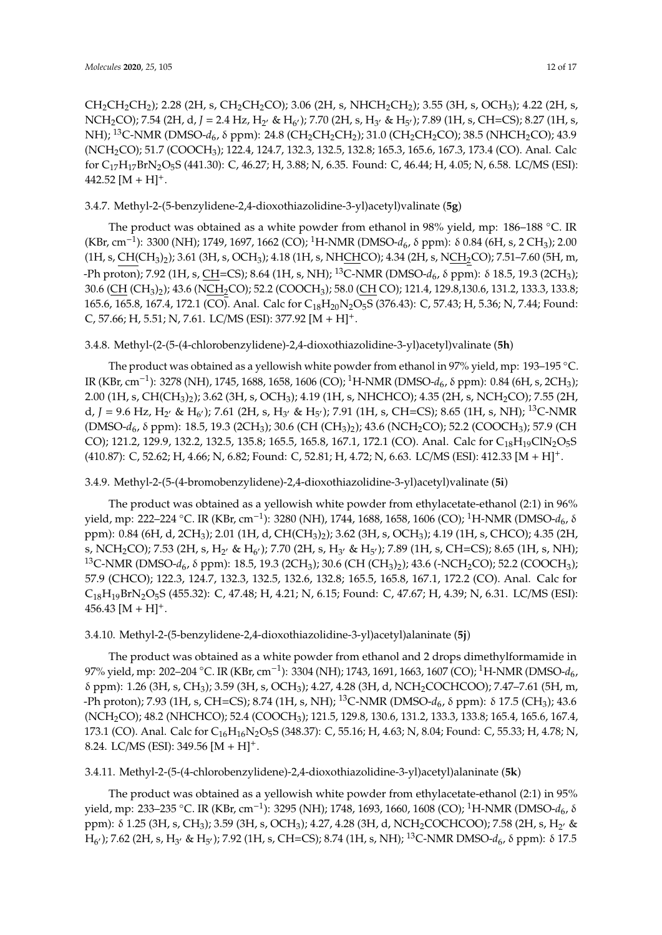$CH_2CH_2CH_2$ ); 2.28 (2H, s, CH<sub>2</sub>CH<sub>2</sub>CO); 3.06 (2H, s, NHCH<sub>2</sub>CH<sub>2</sub>); 3.55 (3H, s, OCH<sub>3</sub>); 4.22 (2H, s, NCH<sub>2</sub>CO); 7.54 (2H, d, J = 2.4 Hz, H<sub>2'</sub> & H<sub>6'</sub>); 7.70 (2H, s, H<sub>3'</sub> & H<sub>5'</sub>); 7.89 (1H, s, CH=CS); 8.27 (1H, s, NH); <sup>13</sup>C-NMR (DMSO-*d*<sub>6</sub>, δ ppm): 24.8 (CH<sub>2</sub>CH<sub>2</sub>CH<sub>2</sub>); 31.0 (CH<sub>2</sub>CH<sub>2</sub>CO); 38.5 (NHCH<sub>2</sub>CO); 43.9 (NCH<sub>2</sub>CO); 51.7 (COOCH<sub>3</sub>); 122.4, 124.7, 132.3, 132.5, 132.8; 165.3, 165.6, 167.3, 173.4 (CO). Anal. Calc for C17H17BrN2O5S (441.30): C, 46.27; H, 3.88; N, 6.35. Found: C, 46.44; H, 4.05; N, 6.58. LC/MS (ESI):  $442.52$  [M + H]<sup>+</sup>.

## 3.4.7. Methyl-2-(5-benzylidene-2,4-dioxothiazolidine-3-yl)acetyl)valinate (**5g**)

The product was obtained as a white powder from ethanol in 98% yield, mp: 186–188 ◦C. IR (KBr, cm−<sup>1</sup> ): 3300 (NH); 1749, 1697, 1662 (CO); <sup>1</sup>H-NMR (DMSO-*d*6, δ ppm): δ 0.84 (6H, s, 2 CH3); 2.00  $(1H, s, CH(CH<sub>3</sub>)<sub>2</sub>)$ ; 3.61 (3H, s, OCH<sub>3</sub>); 4.18 (1H, s, NHCHCO); 4.34 (2H, s, NCH<sub>2</sub>CO); 7.51–7.60 (5H, m, -Ph proton); 7.92 (1H, s, CH=CS); 8.64 (1H, s, NH); <sup>13</sup>C-NMR (DMSO- $d_6$ , δ ppm): δ 18.5, 19.3 (2CH<sub>3</sub>); 30.6 (CH (CH<sub>3</sub>)<sub>2</sub>); 43.6 (NCH<sub>2</sub>CO); 52.2 (COOCH<sub>3</sub>); 58.0 (CH CO); 121.4, 129.8,130.6, 131.2, 133.3, 133.8; 165.6, 165.8, 167.4, 172.1 (CO). Anal. Calc for C<sub>18</sub>H<sub>20</sub>N<sub>2</sub>O<sub>5</sub>S (376.43): C, 57.43; H, 5.36; N, 7.44; Found: C, 57.66; H, 5.51; N, 7.61. LC/MS (ESI): 377.92 [M + H]+.

## 3.4.8. Methyl-(2-(5-(4-chlorobenzylidene)-2,4-dioxothiazolidine-3-yl)acetyl)valinate (**5h**)

The product was obtained as a yellowish white powder from ethanol in 97% yield, mp: 193–195 °C. IR (KBr, cm−<sup>1</sup> ): 3278 (NH), 1745, 1688, 1658, 1606 (CO); <sup>1</sup>H-NMR (DMSO-*d*6, δ ppm): 0.84 (6H, s, 2CH3); 2.00 (1H, s, CH(CH<sub>3</sub>)<sub>2</sub>); 3.62 (3H, s, OCH<sub>3</sub>); 4.19 (1H, s, NHCHCO); 4.35 (2H, s, NCH<sub>2</sub>CO); 7.55 (2H, d, *J* = 9.6 Hz, H<sub>2</sub>, & H<sub>6</sub>, ); 7.61 (2H, s, H<sub>3</sub>, & H<sub>5</sub>, ); 7.91 (1H, s, CH=CS); 8.65 (1H, s, NH); <sup>13</sup>C-NMR (DMSO-d<sub>6</sub>, δ ppm): 18.5, 19.3 (2CH<sub>3</sub>); 30.6 (CH (CH<sub>3</sub>)<sub>2</sub>); 43.6 (NCH<sub>2</sub>CO); 52.2 (COOCH<sub>3</sub>); 57.9 (CH CO); 121.2, 129.9, 132.2, 132.5, 135.8; 165.5, 165.8, 167.1, 172.1 (CO). Anal. Calc for  $C_{18}H_{19}CIN_2O_5S$ (410.87): C, 52.62; H, 4.66; N, 6.82; Found: C, 52.81; H, 4.72; N, 6.63. LC/MS (ESI): 412.33 [M + H]+.

## 3.4.9. Methyl-2-(5-(4-bromobenzylidene)-2,4-dioxothiazolidine-3-yl)acetyl)valinate (**5i**)

The product was obtained as a yellowish white powder from ethylacetate-ethanol (2:1) in 96% yield, mp: 222–224 ◦C. IR (KBr, cm−<sup>1</sup> ): 3280 (NH), 1744, 1688, 1658, 1606 (CO); <sup>1</sup>H-NMR (DMSO-*d*6, δ ppm): 0.84 (6H, d, 2CH<sub>3</sub>); 2.01 (1H, d, CH(CH<sub>3</sub>)<sub>2</sub>); 3.62 (3H, s, OCH<sub>3</sub>); 4.19 (1H, s, CHCO); 4.35 (2H, s, NCH<sub>2</sub>CO); 7.53 (2H, s, H<sub>2'</sub> & H<sub>6'</sub>); 7.70 (2H, s, H<sub>3'</sub> & H<sub>5'</sub>); 7.89 (1H, s, CH=CS); 8.65 (1H, s, NH); <sup>13</sup>C-NMR (DMSO-*d*<sub>6</sub>, δ ppm): 18.5, 19.3 (2CH<sub>3</sub>); 30.6 (CH (CH<sub>3</sub>)<sub>2</sub>); 43.6 (-NCH<sub>2</sub>CO); 52.2 (COOCH<sub>3</sub>); 57.9 (CHCO); 122.3, 124.7, 132.3, 132.5, 132.6, 132.8; 165.5, 165.8, 167.1, 172.2 (CO). Anal. Calc for C18H19BrN2O5S (455.32): C, 47.48; H, 4.21; N, 6.15; Found: C, 47.67; H, 4.39; N, 6.31. LC/MS (ESI):  $456.43 \text{ [M + H]}^+$ .

## 3.4.10. Methyl-2-(5-benzylidene-2,4-dioxothiazolidine-3-yl)acetyl)alaninate (**5j**)

The product was obtained as a white powder from ethanol and 2 drops dimethylformamide in 97% yield, mp: 202–204 ◦C. IR (KBr, cm−<sup>1</sup> ): 3304 (NH); 1743, 1691, 1663, 1607 (CO); <sup>1</sup>H-NMR (DMSO-*d*6, δ ppm): 1.26 (3H, s, CH3); 3.59 (3H, s, OCH3); 4.27, 4.28 (3H, d, NCH2COCHCOO); 7.47–7.61 (5H, m, -Ph proton); 7.93 (1H, s, CH=CS); 8.74 (1H, s, NH); <sup>13</sup>C-NMR (DMSO- $d_6$ , δ ppm): δ 17.5 (CH<sub>3</sub>); 43.6 (NCH2CO); 48.2 (NHCHCO); 52.4 (COOCH3); 121.5, 129.8, 130.6, 131.2, 133.3, 133.8; 165.4, 165.6, 167.4, 173.1 (CO). Anal. Calc for C<sub>16</sub>H<sub>16</sub>N<sub>2</sub>O<sub>5</sub>S (348.37): C, 55.16; H, 4.63; N, 8.04; Found: C, 55.33; H, 4.78; N, 8.24. LC/MS (ESI): 349.56  $[M + H]$ <sup>+</sup>.

3.4.11. Methyl-2-(5-(4-chlorobenzylidene)-2,4-dioxothiazolidine-3-yl)acetyl)alaninate (**5k**)

The product was obtained as a yellowish white powder from ethylacetate-ethanol (2:1) in 95% yield, mp: 233–235 ◦C. IR (KBr, cm−<sup>1</sup> ): 3295 (NH); 1748, 1693, 1660, 1608 (CO); <sup>1</sup>H-NMR (DMSO-*d*6, δ ppm): δ 1.25 (3H, s, CH<sub>3</sub>); 3.59 (3H, s, OCH<sub>3</sub>); 4.27, 4.28 (3H, d, NCH<sub>2</sub>COCHCOO); 7.58 (2H, s, H<sub>2′</sub> & H<sub>6'</sub>); 7.62 (2H, s, H<sub>3'</sub> & H<sub>5'</sub>); 7.92 (1H, s, CH=CS); 8.74 (1H, s, NH); <sup>13</sup>C-NMR DMSO-d<sub>6</sub>, δ ppm): δ 17.5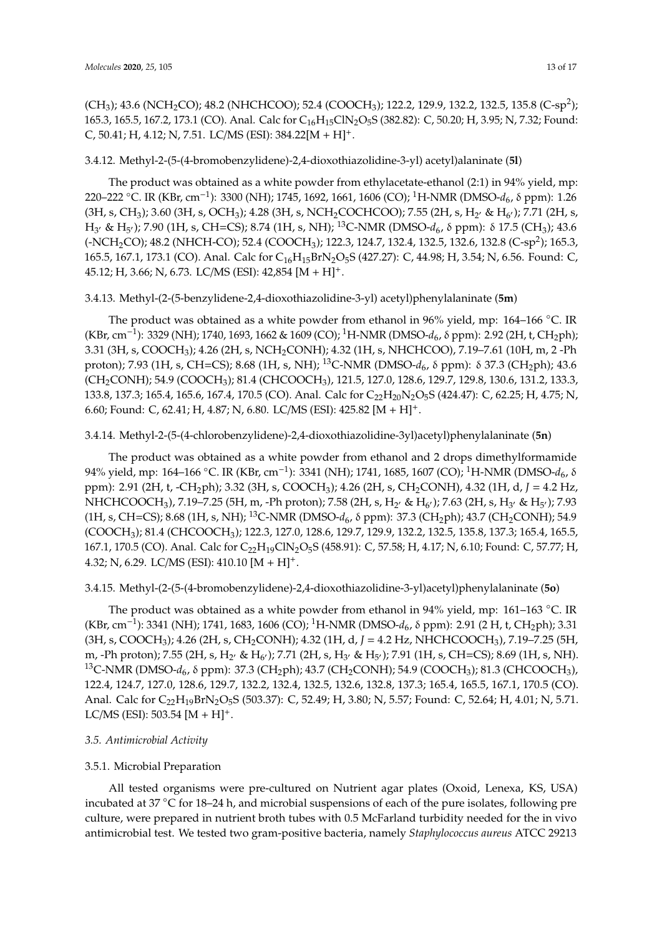(CH<sub>3</sub>); 43.6 (NCH<sub>2</sub>CO); 48.2 (NHCHCOO); 52.4 (COOCH<sub>3</sub>); 122.2, 129.9, 132.2, 132.5, 135.8 (C-sp<sup>2</sup>); 165.3, 165.5, 167.2, 173.1 (CO). Anal. Calc for C<sub>16</sub>H<sub>15</sub>ClN<sub>2</sub>O<sub>5</sub>S (382.82): C, 50.20; H, 3.95; N, 7.32; Found: C, 50.41; H, 4.12; N, 7.51. LC/MS (ESI):  $384.22[M + H]$ <sup>+</sup>.

## 3.4.12. Methyl-2-(5-(4-bromobenzylidene)-2,4-dioxothiazolidine-3-yl) acetyl)alaninate (**5l**)

The product was obtained as a white powder from ethylacetate-ethanol (2:1) in 94% yield, mp: 220–222 ◦C. IR (KBr, cm−<sup>1</sup> ): 3300 (NH); 1745, 1692, 1661, 1606 (CO); <sup>1</sup>H-NMR (DMSO-*d*6, δ ppm): 1.26 (3H, s, CH<sub>3</sub>); 3.60 (3H, s, OCH<sub>3</sub>); 4.28 (3H, s, NCH<sub>2</sub>COCHCOO); 7.55 (2H, s, H<sub>2</sub><sup>,</sup> & H<sub>6</sub><sup>,</sup>); 7.71 (2H, s, H<sub>3</sub><sup>,</sup> & H<sub>5</sub><sup>,</sup>); 7.90 (1H, s, CH=CS); 8.74 (1H, s, NH); <sup>13</sup>C-NMR (DMSO-d<sub>6</sub>, δ ppm): δ 17.5 (CH<sub>3</sub>); 43.6 (-NCH2CO); 48.2 (NHCH-CO); 52.4 (COOCH3); 122.3, 124.7, 132.4, 132.5, 132.6, 132.8 (C-sp<sup>2</sup> ); 165.3, 165.5, 167.1, 173.1 (CO). Anal. Calc for C<sub>16</sub>H<sub>15</sub>BrN<sub>2</sub>O<sub>5</sub>S (427.27): C, 44.98; H, 3.54; N, 6.56. Found: C, 45.12; H, 3.66; N, 6.73. LC/MS (ESI): 42,854 [M + H]+.

## 3.4.13. Methyl-(2-(5-benzylidene-2,4-dioxothiazolidine-3-yl) acetyl)phenylalaninate (**5m**)

The product was obtained as a white powder from ethanol in 96% yield, mp: 164–166 °C. IR (KBr, cm−<sup>1</sup> ): 3329 (NH); 1740, 1693, 1662 & 1609 (CO); <sup>1</sup>H-NMR (DMSO-*d*6, δ ppm): 2.92 (2H, t, CH2ph); 3.31 (3H, s, COOCH3); 4.26 (2H, s, NCH2CONH); 4.32 (1H, s, NHCHCOO), 7.19–7.61 (10H, m, 2 -Ph proton); 7.93 (1H, s, CH=CS); 8.68 (1H, s, NH); <sup>13</sup>C-NMR (DMSO-d<sub>6</sub>, δ ppm): δ 37.3 (CH<sub>2</sub>ph); 43.6 (CH<sub>2</sub>CONH); 54.9 (COOCH<sub>3</sub>); 81.4 (CHCOOCH<sub>3</sub>), 121.5, 127.0, 128.6, 129.7, 129.8, 130.6, 131.2, 133.3, 133.8, 137.3; 165.4, 165.6, 167.4, 170.5 (CO). Anal. Calc for C<sub>22</sub>H<sub>20</sub>N<sub>2</sub>O<sub>5</sub>S (424.47): C, 62.25; H, 4.75; N, 6.60; Found: C, 62.41; H, 4.87; N, 6.80. LC/MS (ESI): 425.82  $[M + H]^{+}$ .

## 3.4.14. Methyl-2-(5-(4-chlorobenzylidene)-2,4-dioxothiazolidine-3yl)acetyl)phenylalaninate (**5n**)

The product was obtained as a white powder from ethanol and 2 drops dimethylformamide 94% yield, mp: 164–166 ◦C. IR (KBr, cm−<sup>1</sup> ): 3341 (NH); 1741, 1685, 1607 (CO); <sup>1</sup>H-NMR (DMSO-*d*6, δ ppm): 2.91 (2H, t, -CH2ph); 3.32 (3H, s, COOCH3); 4.26 (2H, s, CH2CONH), 4.32 (1H, d, *J* = 4.2 Hz, NHCHCOOCH<sub>3</sub>), 7.19–7.25 (5H, m, -Ph proton); 7.58 (2H, s, H<sub>2'</sub> & H<sub>6'</sub>); 7.63 (2H, s, H<sub>3'</sub> & H<sub>5'</sub>); 7.93 (1H, s, CH=CS); 8.68 (1H, s, NH); <sup>13</sup>C-NMR (DMSO- $d_6$ , δ ppm): 37.3 (CH<sub>2</sub>ph); 43.7 (CH<sub>2</sub>CONH); 54.9 (COOCH3); 81.4 (CHCOOCH3); 122.3, 127.0, 128.6, 129.7, 129.9, 132.2, 132.5, 135.8, 137.3; 165.4, 165.5, 167.1, 170.5 (CO). Anal. Calc for C<sub>22</sub>H<sub>19</sub>ClN<sub>2</sub>O<sub>5</sub>S (458.91): C, 57.58; H, 4.17; N, 6.10; Found: C, 57.77; H, 4.32; N, 6.29. LC/MS (ESI): 410.10  $[M + H]$ <sup>+</sup>.

## 3.4.15. Methyl-(2-(5-(4-bromobenzylidene)-2,4-dioxothiazolidine-3-yl)acetyl)phenylalaninate (**5o**)

The product was obtained as a white powder from ethanol in 94% yield, mp: 161–163 °C. IR (KBr, cm−<sup>1</sup> ): 3341 (NH); 1741, 1683, 1606 (CO); <sup>1</sup>H-NMR (DMSO-*d*6, δ ppm): 2.91 (2 H, t, CH2ph); 3.31 (3H, s, COOCH<sub>3</sub>); 4.26 (2H, s, CH<sub>2</sub>CONH); 4.32 (1H, d, *J* = 4.2 Hz, NHCHCOOCH<sub>3</sub>), 7.19–7.25 (5H, m, -Ph proton); 7.55 (2H, s, H<sub>2'</sub> & H<sub>6'</sub>); 7.71 (2H, s, H<sub>3'</sub> & H<sub>5'</sub>); 7.91 (1H, s, CH=CS); 8.69 (1H, s, NH). <sup>13</sup>C-NMR (DMSO-*d*<sub>6</sub>, δ ppm): 37.3 (CH<sub>2</sub>ph); 43.7 (CH<sub>2</sub>CONH); 54.9 (COOCH<sub>3</sub>); 81.3 (CHCOOCH<sub>3</sub>), 122.4, 124.7, 127.0, 128.6, 129.7, 132.2, 132.4, 132.5, 132.6, 132.8, 137.3; 165.4, 165.5, 167.1, 170.5 (CO). Anal. Calc for C<sub>22</sub>H<sub>19</sub>BrN<sub>2</sub>O<sub>5</sub>S (503.37): C, 52.49; H, 3.80; N, 5.57; Found: C, 52.64; H, 4.01; N, 5.71. LC/MS (ESI): 503.54  $[M + H]$ <sup>+</sup>.

## *3.5. Antimicrobial Activity*

#### 3.5.1. Microbial Preparation

All tested organisms were pre-cultured on Nutrient agar plates (Oxoid, Lenexa, KS, USA) incubated at 37 ◦C for 18–24 h, and microbial suspensions of each of the pure isolates, following pre culture, were prepared in nutrient broth tubes with 0.5 McFarland turbidity needed for the in vivo antimicrobial test. We tested two gram-positive bacteria, namely *Staphylococcus aureus* ATCC 29213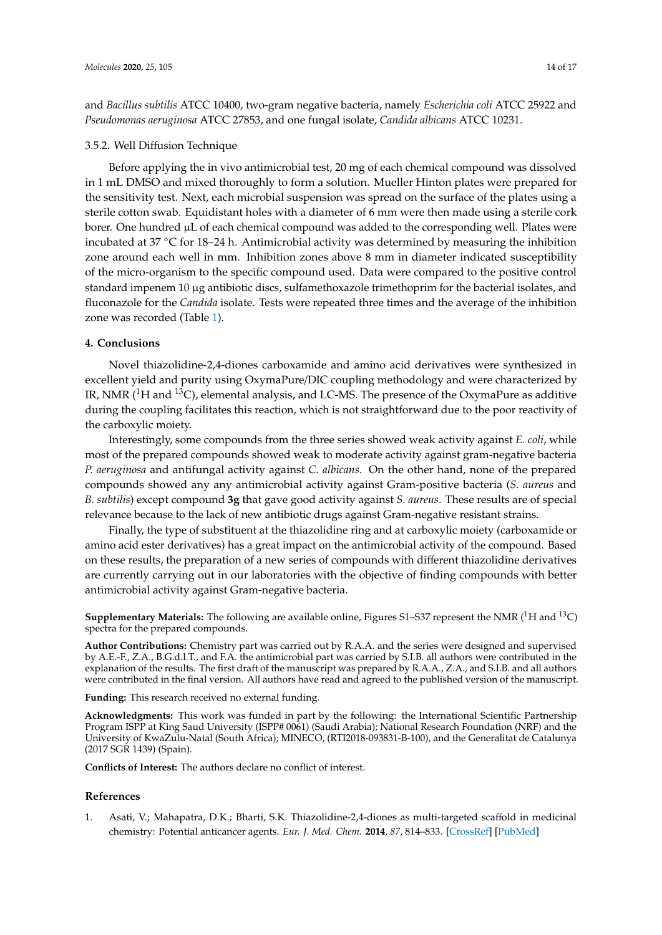and *Bacillus subtilis* ATCC 10400, two-gram negative bacteria, namely *Escherichia coli* ATCC 25922 and *Pseudomonas aeruginosa* ATCC 27853, and one fungal isolate, *Candida albicans* ATCC 10231.

#### 3.5.2. Well Diffusion Technique

Before applying the in vivo antimicrobial test, 20 mg of each chemical compound was dissolved in 1 mL DMSO and mixed thoroughly to form a solution. Mueller Hinton plates were prepared for the sensitivity test. Next, each microbial suspension was spread on the surface of the plates using a sterile cotton swab. Equidistant holes with a diameter of 6 mm were then made using a sterile cork borer. One hundred µL of each chemical compound was added to the corresponding well. Plates were incubated at 37 ◦C for 18–24 h. Antimicrobial activity was determined by measuring the inhibition zone around each well in mm. Inhibition zones above 8 mm in diameter indicated susceptibility of the micro-organism to the specific compound used. Data were compared to the positive control standard impenem 10 µg antibiotic discs, sulfamethoxazole trimethoprim for the bacterial isolates, and fluconazole for the *Candida* isolate. Tests were repeated three times and the average of the inhibition zone was recorded (Table [1\)](#page-3-0).

#### **4. Conclusions**

Novel thiazolidine-2,4-diones carboxamide and amino acid derivatives were synthesized in excellent yield and purity using OxymaPure/DIC coupling methodology and were characterized by IR, NMR  $(^1H$  and  $^{13}C$ ), elemental analysis, and LC-MS. The presence of the OxymaPure as additive during the coupling facilitates this reaction, which is not straightforward due to the poor reactivity of the carboxylic moiety.

Interestingly, some compounds from the three series showed weak activity against *E. coli*, while most of the prepared compounds showed weak to moderate activity against gram-negative bacteria *P. aeruginosa* and antifungal activity against *C. albicans.* On the other hand, none of the prepared compounds showed any any antimicrobial activity against Gram-positive bacteria (*S. aureus* and *B. subtilis*) except compound **3g** that gave good activity against *S. aureus*. These results are of special relevance because to the lack of new antibiotic drugs against Gram-negative resistant strains.

Finally, the type of substituent at the thiazolidine ring and at carboxylic moiety (carboxamide or amino acid ester derivatives) has a great impact on the antimicrobial activity of the compound. Based on these results, the preparation of a new series of compounds with different thiazolidine derivatives are currently carrying out in our laboratories with the objective of finding compounds with better antimicrobial activity against Gram-negative bacteria.

**Supplementary Materials:** The following are available online, Figures S1–S37 represent the NMR  $(^1H$  and  $^{13}C$ ) spectra for the prepared compounds.

**Author Contributions:** Chemistry part was carried out by R.A.A. and the series were designed and supervised by A.E.-F., Z.A., B.G.d.l.T., and F.A. the antimicrobial part was carried by S.I.B. all authors were contributed in the explanation of the results. The first draft of the manuscript was prepared by R.A.A., Z.A., and S.I.B. and all authors were contributed in the final version. All authors have read and agreed to the published version of the manuscript.

**Funding:** This research received no external funding.

**Acknowledgments:** This work was funded in part by the following: the International Scientific Partnership Program ISPP at King Saud University (ISPP# 0061) (Saudi Arabia); National Research Foundation (NRF) and the University of KwaZulu-Natal (South Africa); MINECO, (RTI2018-093831-B-100), and the Generalitat de Catalunya (2017 SGR 1439) (Spain).

**Conflicts of Interest:** The authors declare no conflict of interest.

#### **References**

<span id="page-13-0"></span>1. Asati, V.; Mahapatra, D.K.; Bharti, S.K. Thiazolidine-2,4-diones as multi-targeted scaffold in medicinal chemistry: Potential anticancer agents. *Eur. J. Med. Chem.* **2014**, *87*, 814–833. [\[CrossRef\]](http://dx.doi.org/10.1016/j.ejmech.2014.10.025) [\[PubMed\]](http://www.ncbi.nlm.nih.gov/pubmed/25440883)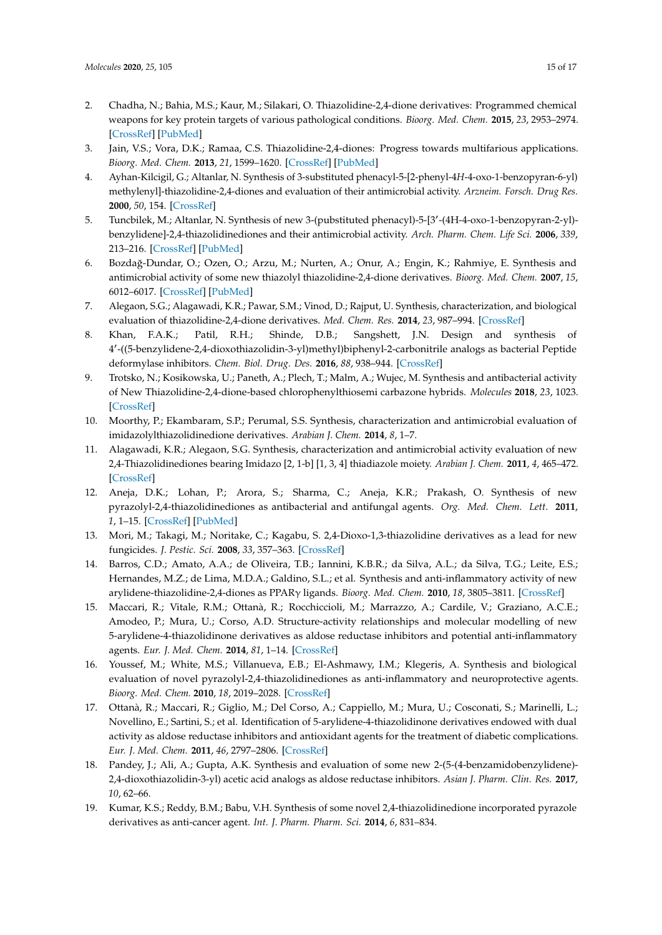- 2. Chadha, N.; Bahia, M.S.; Kaur, M.; Silakari, O. Thiazolidine-2,4-dione derivatives: Programmed chemical weapons for key protein targets of various pathological conditions. *Bioorg. Med. Chem.* **2015**, *23*, 2953–2974. [\[CrossRef\]](http://dx.doi.org/10.1016/j.bmc.2015.03.071) [\[PubMed\]](http://www.ncbi.nlm.nih.gov/pubmed/25890697)
- 3. Jain, V.S.; Vora, D.K.; Ramaa, C.S. Thiazolidine-2,4-diones: Progress towards multifarious applications. *Bioorg. Med. Chem.* **2013**, *21*, 1599–1620. [\[CrossRef\]](http://dx.doi.org/10.1016/j.bmc.2013.01.029) [\[PubMed\]](http://www.ncbi.nlm.nih.gov/pubmed/23419324)
- 4. Ayhan-Kilcigil, G.; Altanlar, N. Synthesis of 3-substituted phenacyl-5-[2-phenyl-4*H*-4-oxo-1-benzopyran-6-yl) methylenyl]-thiazolidine-2,4-diones and evaluation of their antimicrobial activity. *Arzneim. Forsch. Drug Res.* **2000**, *50*, 154. [\[CrossRef\]](http://dx.doi.org/10.1002/chin.200022115)
- 5. Tuncbilek, M.; Altanlar, N. Synthesis of new 3-(pubstituted phenacyl)-5-[3'-(4H-4-oxo-1-benzopyran-2-yl)benzylidene]-2,4-thiazolidinediones and their antimicrobial activity. *Arch. Pharm. Chem. Life Sci.* **2006**, *339*, 213–216. [\[CrossRef\]](http://dx.doi.org/10.1002/ardp.200500180) [\[PubMed\]](http://www.ncbi.nlm.nih.gov/pubmed/16572478)
- <span id="page-14-0"></span>6. Bozdağ-Dundar, O.; Ozen, O.; Arzu, M.; Nurten, A.; Onur, A.; Engin, K.; Rahmiye, E. Synthesis and antimicrobial activity of some new thiazolyl thiazolidine-2,4-dione derivatives. *Bioorg. Med. Chem.* **2007**, *15*, 6012–6017. [\[CrossRef\]](http://dx.doi.org/10.1016/j.bmc.2007.06.049) [\[PubMed\]](http://www.ncbi.nlm.nih.gov/pubmed/17618124)
- <span id="page-14-1"></span>7. Alegaon, S.G.; Alagawadi, K.R.; Pawar, S.M.; Vinod, D.; Rajput, U. Synthesis, characterization, and biological evaluation of thiazolidine-2,4-dione derivatives. *Med. Chem. Res.* **2014**, *23*, 987–994. [\[CrossRef\]](http://dx.doi.org/10.1007/s00044-013-0705-2)
- 8. Khan, F.A.K.; Patil, R.H.; Shinde, D.B.; Sangshett, J.N. Design and synthesis of 4 0 -((5-benzylidene-2,4-dioxothiazolidin-3-yl)methyl)biphenyl-2-carbonitrile analogs as bacterial Peptide deformylase inhibitors. *Chem. Biol. Drug. Des.* **2016**, *88*, 938–944. [\[CrossRef\]](http://dx.doi.org/10.1111/cbdd.12817)
- 9. Trotsko, N.; Kosikowska, U.; Paneth, A.; Plech, T.; Malm, A.; Wujec, M. Synthesis and antibacterial activity of New Thiazolidine-2,4-dione-based chlorophenylthiosemi carbazone hybrids. *Molecules* **2018**, *23*, 1023. [\[CrossRef\]](http://dx.doi.org/10.3390/molecules23051023)
- 10. Moorthy, P.; Ekambaram, S.P.; Perumal, S.S. Synthesis, characterization and antimicrobial evaluation of imidazolylthiazolidinedione derivatives. *Arabian J. Chem.* **2014**, *8*, 1–7.
- 11. Alagawadi, K.R.; Alegaon, S.G. Synthesis, characterization and antimicrobial activity evaluation of new 2,4-Thiazolidinediones bearing Imidazo [2, 1-b] [1, 3, 4] thiadiazole moiety. *Arabian J. Chem.* **2011**, *4*, 465–472. [\[CrossRef\]](http://dx.doi.org/10.1016/j.arabjc.2010.07.012)
- <span id="page-14-2"></span>12. Aneja, D.K.; Lohan, P.; Arora, S.; Sharma, C.; Aneja, K.R.; Prakash, O. Synthesis of new pyrazolyl-2,4-thiazolidinediones as antibacterial and antifungal agents. *Org. Med. Chem. Lett.* **2011**, *1*, 1–15. [\[CrossRef\]](http://dx.doi.org/10.1186/2191-2858-1-15) [\[PubMed\]](http://www.ncbi.nlm.nih.gov/pubmed/22373217)
- <span id="page-14-3"></span>13. Mori, M.; Takagi, M.; Noritake, C.; Kagabu, S. 2,4-Dioxo-1,3-thiazolidine derivatives as a lead for new fungicides. *J. Pestic. Sci.* **2008**, *33*, 357–363. [\[CrossRef\]](http://dx.doi.org/10.1584/jpestics.G08-15)
- 14. Barros, C.D.; Amato, A.A.; de Oliveira, T.B.; Iannini, K.B.R.; da Silva, A.L.; da Silva, T.G.; Leite, E.S.; Hernandes, M.Z.; de Lima, M.D.A.; Galdino, S.L.; et al. Synthesis and anti-inflammatory activity of new arylidene-thiazolidine-2,4-diones as PPARγ ligands. *Bioorg. Med. Chem.* **2010**, *18*, 3805–3811. [\[CrossRef\]](http://dx.doi.org/10.1016/j.bmc.2010.04.045)
- <span id="page-14-8"></span>15. Maccari, R.; Vitale, R.M.; Ottanà, R.; Rocchiccioli, M.; Marrazzo, A.; Cardile, V.; Graziano, A.C.E.; Amodeo, P.; Mura, U.; Corso, A.D. Structure-activity relationships and molecular modelling of new 5-arylidene-4-thiazolidinone derivatives as aldose reductase inhibitors and potential anti-inflammatory agents. *Eur. J. Med. Chem.* **2014**, *81*, 1–14. [\[CrossRef\]](http://dx.doi.org/10.1016/j.ejmech.2014.05.003)
- <span id="page-14-4"></span>16. Youssef, M.; White, M.S.; Villanueva, E.B.; El-Ashmawy, I.M.; Klegeris, A. Synthesis and biological evaluation of novel pyrazolyl-2,4-thiazolidinediones as anti-inflammatory and neuroprotective agents. *Bioorg. Med. Chem.* **2010**, *18*, 2019–2028. [\[CrossRef\]](http://dx.doi.org/10.1016/j.bmc.2010.01.021)
- <span id="page-14-5"></span>17. Ottanà, R.; Maccari, R.; Giglio, M.; Del Corso, A.; Cappiello, M.; Mura, U.; Cosconati, S.; Marinelli, L.; Novellino, E.; Sartini, S.; et al. Identification of 5-arylidene-4-thiazolidinone derivatives endowed with dual activity as aldose reductase inhibitors and antioxidant agents for the treatment of diabetic complications. *Eur. J. Med. Chem.* **2011**, *46*, 2797–2806. [\[CrossRef\]](http://dx.doi.org/10.1016/j.ejmech.2011.03.068)
- <span id="page-14-6"></span>18. Pandey, J.; Ali, A.; Gupta, A.K. Synthesis and evaluation of some new 2-(5-(4-benzamidobenzylidene)- 2,4-dioxothiazolidin-3-yl) acetic acid analogs as aldose reductase inhibitors. *Asian J. Pharm. Clin. Res.* **2017**, *10*, 62–66.
- <span id="page-14-7"></span>19. Kumar, K.S.; Reddy, B.M.; Babu, V.H. Synthesis of some novel 2,4-thiazolidinedione incorporated pyrazole derivatives as anti-cancer agent. *Int. J. Pharm. Pharm. Sci.* **2014**, *6*, 831–834.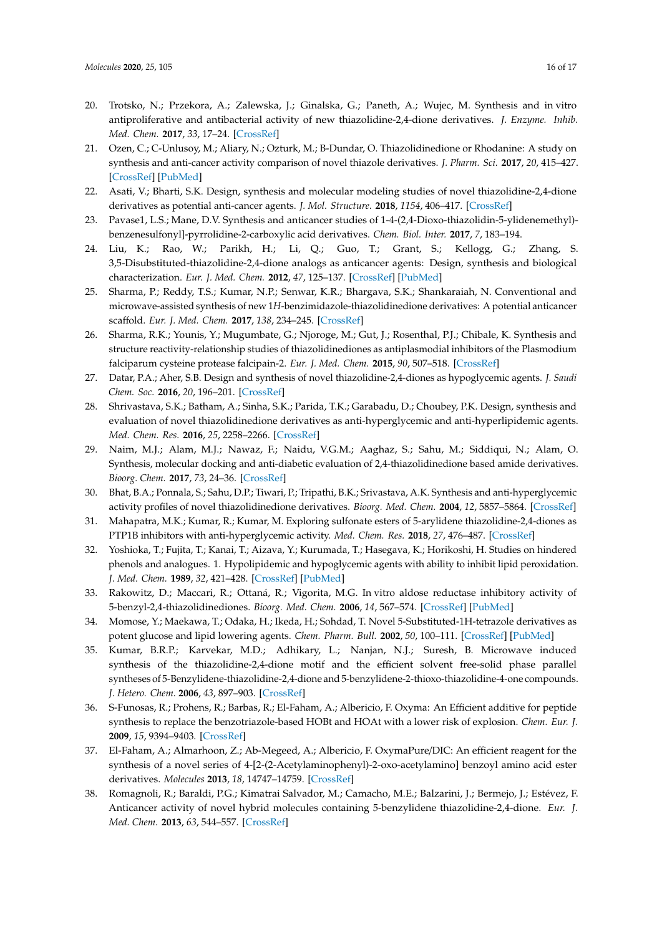- 20. Trotsko, N.; Przekora, A.; Zalewska, J.; Ginalska, G.; Paneth, A.; Wujec, M. Synthesis and in vitro antiproliferative and antibacterial activity of new thiazolidine-2,4-dione derivatives. *J. Enzyme. Inhib. Med. Chem.* **2017**, *33*, 17–24. [\[CrossRef\]](http://dx.doi.org/10.1080/14756366.2017.1387543)
- 21. Ozen, C.; C-Unlusoy, M.; Aliary, N.; Ozturk, M.; B-Dundar, O. Thiazolidinedione or Rhodanine: A study on synthesis and anti-cancer activity comparison of novel thiazole derivatives. *J. Pharm. Sci.* **2017**, *20*, 415–427. [\[CrossRef\]](http://dx.doi.org/10.18433/J38P9R) [\[PubMed\]](http://www.ncbi.nlm.nih.gov/pubmed/29197428)
- 22. Asati, V.; Bharti, S.K. Design, synthesis and molecular modeling studies of novel thiazolidine-2,4-dione derivatives as potential anti-cancer agents. *J. Mol. Structure.* **2018**, *1154*, 406–417. [\[CrossRef\]](http://dx.doi.org/10.1016/j.molstruc.2017.10.077)
- 23. Pavase1, L.S.; Mane, D.V. Synthesis and anticancer studies of 1-4-(2,4-Dioxo-thiazolidin-5-ylidenemethyl) benzenesulfonyl]-pyrrolidine-2-carboxylic acid derivatives. *Chem. Biol. Inter.* **2017**, *7*, 183–194.
- 24. Liu, K.; Rao, W.; Parikh, H.; Li, Q.; Guo, T.; Grant, S.; Kellogg, G.; Zhang, S. 3,5-Disubstituted-thiazolidine-2,4-dione analogs as anticancer agents: Design, synthesis and biological characterization. *Eur. J. Med. Chem.* **2012**, *47*, 125–137. [\[CrossRef\]](http://dx.doi.org/10.1016/j.ejmech.2011.10.031) [\[PubMed\]](http://www.ncbi.nlm.nih.gov/pubmed/22074985)
- <span id="page-15-0"></span>25. Sharma, P.; Reddy, T.S.; Kumar, N.P.; Senwar, K.R.; Bhargava, S.K.; Shankaraiah, N. Conventional and microwave-assisted synthesis of new 1*H*-benzimidazole-thiazolidinedione derivatives: A potential anticancer scaffold. *Eur. J. Med. Chem.* **2017**, *138*, 234–245. [\[CrossRef\]](http://dx.doi.org/10.1016/j.ejmech.2017.06.035)
- <span id="page-15-1"></span>26. Sharma, R.K.; Younis, Y.; Mugumbate, G.; Njoroge, M.; Gut, J.; Rosenthal, P.J.; Chibale, K. Synthesis and structure reactivity-relationship studies of thiazolidinediones as antiplasmodial inhibitors of the Plasmodium falciparum cysteine protease falcipain-2. *Eur. J. Med. Chem.* **2015**, *90*, 507–518. [\[CrossRef\]](http://dx.doi.org/10.1016/j.ejmech.2014.11.061)
- <span id="page-15-2"></span>27. Datar, P.A.; Aher, S.B. Design and synthesis of novel thiazolidine-2,4-diones as hypoglycemic agents. *J. Saudi Chem. Soc.* **2016**, *20*, 196–201. [\[CrossRef\]](http://dx.doi.org/10.1016/j.jscs.2012.10.010)
- 28. Shrivastava, S.K.; Batham, A.; Sinha, S.K.; Parida, T.K.; Garabadu, D.; Choubey, P.K. Design, synthesis and evaluation of novel thiazolidinedione derivatives as anti-hyperglycemic and anti-hyperlipidemic agents. *Med. Chem. Res.* **2016**, *25*, 2258–2266. [\[CrossRef\]](http://dx.doi.org/10.1007/s00044-016-1675-y)
- 29. Naim, M.J.; Alam, M.J.; Nawaz, F.; Naidu, V.G.M.; Aaghaz, S.; Sahu, M.; Siddiqui, N.; Alam, O. Synthesis, molecular docking and anti-diabetic evaluation of 2,4-thiazolidinedione based amide derivatives. *Bioorg. Chem.* **2017**, *73*, 24–36. [\[CrossRef\]](http://dx.doi.org/10.1016/j.bioorg.2017.05.007)
- 30. Bhat, B.A.; Ponnala, S.; Sahu, D.P.; Tiwari, P.; Tripathi, B.K.; Srivastava, A.K. Synthesis and anti-hyperglycemic activity profiles of novel thiazolidinedione derivatives. *Bioorg. Med. Chem.* **2004**, *12*, 5857–5864. [\[CrossRef\]](http://dx.doi.org/10.1016/j.bmc.2004.08.031)
- 31. Mahapatra, M.K.; Kumar, R.; Kumar, M. Exploring sulfonate esters of 5-arylidene thiazolidine-2,4-diones as PTP1B inhibitors with anti-hyperglycemic activity. *Med. Chem. Res.* **2018**, *27*, 476–487. [\[CrossRef\]](http://dx.doi.org/10.1007/s00044-017-2074-8)
- <span id="page-15-3"></span>32. Yoshioka, T.; Fujita, T.; Kanai, T.; Aizava, Y.; Kurumada, T.; Hasegava, K.; Horikoshi, H. Studies on hindered phenols and analogues. 1. Hypolipidemic and hypoglycemic agents with ability to inhibit lipid peroxidation. *J. Med. Chem.* **1989**, *32*, 421–428. [\[CrossRef\]](http://dx.doi.org/10.1021/jm00122a022) [\[PubMed\]](http://www.ncbi.nlm.nih.gov/pubmed/2913302)
- <span id="page-15-4"></span>33. Rakowitz, D.; Maccari, R.; Ottaná, R.; Vigorita, M.G. In vitro aldose reductase inhibitory activity of 5-benzyl-2,4-thiazolidinediones. *Bioorg. Med. Chem.* **2006**, *14*, 567–574. [\[CrossRef\]](http://dx.doi.org/10.1016/j.bmc.2005.08.056) [\[PubMed\]](http://www.ncbi.nlm.nih.gov/pubmed/16202614)
- <span id="page-15-5"></span>34. Momose, Y.; Maekawa, T.; Odaka, H.; Ikeda, H.; Sohdad, T. Novel 5-Substituted-1H-tetrazole derivatives as potent glucose and lipid lowering agents. *Chem. Pharm. Bull.* **2002**, *50*, 100–111. [\[CrossRef\]](http://dx.doi.org/10.1248/cpb.50.100) [\[PubMed\]](http://www.ncbi.nlm.nih.gov/pubmed/11824568)
- <span id="page-15-6"></span>35. Kumar, B.R.P.; Karvekar, M.D.; Adhikary, L.; Nanjan, N.J.; Suresh, B. Microwave induced synthesis of the thiazolidine-2,4-dione motif and the efficient solvent free-solid phase parallel syntheses of 5-Benzylidene-thiazolidine-2,4-dione and 5-benzylidene-2-thioxo-thiazolidine-4-one compounds. *J. Hetero. Chem.* **2006**, *43*, 897–903. [\[CrossRef\]](http://dx.doi.org/10.1002/jhet.5570430413)
- <span id="page-15-7"></span>36. S-Funosas, R.; Prohens, R.; Barbas, R.; El-Faham, A.; Albericio, F. Oxyma: An Efficient additive for peptide synthesis to replace the benzotriazole-based HOBt and HOAt with a lower risk of explosion. *Chem. Eur. J.* **2009**, *15*, 9394–9403. [\[CrossRef\]](http://dx.doi.org/10.1002/chem.200900614)
- <span id="page-15-8"></span>37. El-Faham, A.; Almarhoon, Z.; Ab-Megeed, A.; Albericio, F. OxymaPure/DIC: An efficient reagent for the synthesis of a novel series of 4-[2-(2-Acetylaminophenyl)-2-oxo-acetylamino] benzoyl amino acid ester derivatives. *Molecules* **2013**, *18*, 14747–14759. [\[CrossRef\]](http://dx.doi.org/10.3390/molecules181214747)
- <span id="page-15-9"></span>38. Romagnoli, R.; Baraldi, P.G.; Kimatrai Salvador, M.; Camacho, M.E.; Balzarini, J.; Bermejo, J.; Estévez, F. Anticancer activity of novel hybrid molecules containing 5-benzylidene thiazolidine-2,4-dione. *Eur. J. Med. Chem.* **2013**, *63*, 544–557. [\[CrossRef\]](http://dx.doi.org/10.1016/j.ejmech.2013.02.030)